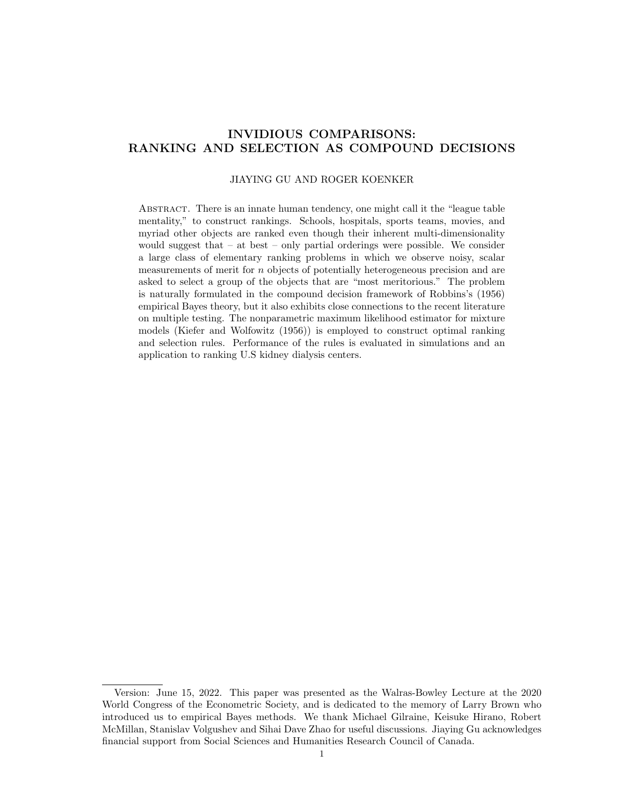# INVIDIOUS COMPARISONS: RANKING AND SELECTION AS COMPOUND DECISIONS

# JIAYING GU AND ROGER KOENKER

Abstract. There is an innate human tendency, one might call it the "league table mentality," to construct rankings. Schools, hospitals, sports teams, movies, and myriad other objects are ranked even though their inherent multi-dimensionality would suggest that – at best – only partial orderings were possible. We consider a large class of elementary ranking problems in which we observe noisy, scalar measurements of merit for n objects of potentially heterogeneous precision and are asked to select a group of the objects that are "most meritorious." The problem is naturally formulated in the compound decision framework of Robbins's (1956) empirical Bayes theory, but it also exhibits close connections to the recent literature on multiple testing. The nonparametric maximum likelihood estimator for mixture models (Kiefer and Wolfowitz (1956)) is employed to construct optimal ranking and selection rules. Performance of the rules is evaluated in simulations and an application to ranking U.S kidney dialysis centers.

Version: June 15, 2022. This paper was presented as the Walras-Bowley Lecture at the 2020 World Congress of the Econometric Society, and is dedicated to the memory of Larry Brown who introduced us to empirical Bayes methods. We thank Michael Gilraine, Keisuke Hirano, Robert McMillan, Stanislav Volgushev and Sihai Dave Zhao for useful discussions. Jiaying Gu acknowledges financial support from Social Sciences and Humanities Research Council of Canada.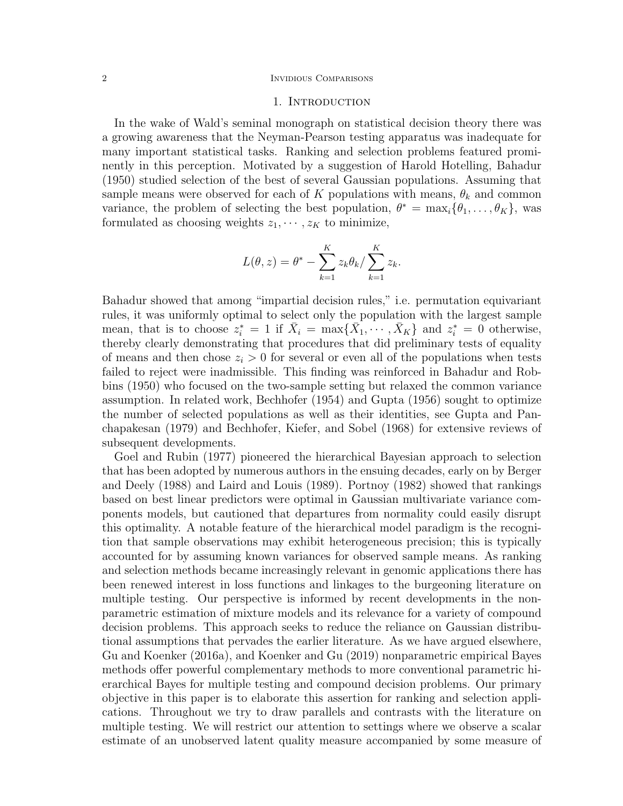#### 2 INVIDIOUS COMPARISONS

## 1. Introduction

In the wake of Wald's seminal monograph on statistical decision theory there was a growing awareness that the Neyman-Pearson testing apparatus was inadequate for many important statistical tasks. Ranking and selection problems featured prominently in this perception. Motivated by a suggestion of Harold Hotelling, Bahadur (1950) studied selection of the best of several Gaussian populations. Assuming that sample means were observed for each of K populations with means,  $\theta_k$  and common variance, the problem of selecting the best population,  $\theta^* = \max_i {\{\theta_1, \ldots, \theta_K\}}$ , was formulated as choosing weights  $z_1, \dots, z_K$  to minimize,

$$
L(\theta, z) = \theta^* - \sum_{k=1}^K z_k \theta_k / \sum_{k=1}^K z_k.
$$

Bahadur showed that among "impartial decision rules," i.e. permutation equivariant rules, it was uniformly optimal to select only the population with the largest sample mean, that is to choose  $z_i^* = 1$  if  $\bar{X}_i = \max\{\bar{X}_1, \cdots, \bar{X}_K\}$  and  $z_i^* = 0$  otherwise, thereby clearly demonstrating that procedures that did preliminary tests of equality of means and then chose  $z_i > 0$  for several or even all of the populations when tests failed to reject were inadmissible. This finding was reinforced in Bahadur and Robbins (1950) who focused on the two-sample setting but relaxed the common variance assumption. In related work, Bechhofer (1954) and Gupta (1956) sought to optimize the number of selected populations as well as their identities, see Gupta and Panchapakesan (1979) and Bechhofer, Kiefer, and Sobel (1968) for extensive reviews of subsequent developments.

Goel and Rubin (1977) pioneered the hierarchical Bayesian approach to selection that has been adopted by numerous authors in the ensuing decades, early on by Berger and Deely (1988) and Laird and Louis (1989). Portnoy (1982) showed that rankings based on best linear predictors were optimal in Gaussian multivariate variance components models, but cautioned that departures from normality could easily disrupt this optimality. A notable feature of the hierarchical model paradigm is the recognition that sample observations may exhibit heterogeneous precision; this is typically accounted for by assuming known variances for observed sample means. As ranking and selection methods became increasingly relevant in genomic applications there has been renewed interest in loss functions and linkages to the burgeoning literature on multiple testing. Our perspective is informed by recent developments in the nonparametric estimation of mixture models and its relevance for a variety of compound decision problems. This approach seeks to reduce the reliance on Gaussian distributional assumptions that pervades the earlier literature. As we have argued elsewhere, Gu and Koenker (2016a), and Koenker and Gu (2019) nonparametric empirical Bayes methods offer powerful complementary methods to more conventional parametric hierarchical Bayes for multiple testing and compound decision problems. Our primary objective in this paper is to elaborate this assertion for ranking and selection applications. Throughout we try to draw parallels and contrasts with the literature on multiple testing. We will restrict our attention to settings where we observe a scalar estimate of an unobserved latent quality measure accompanied by some measure of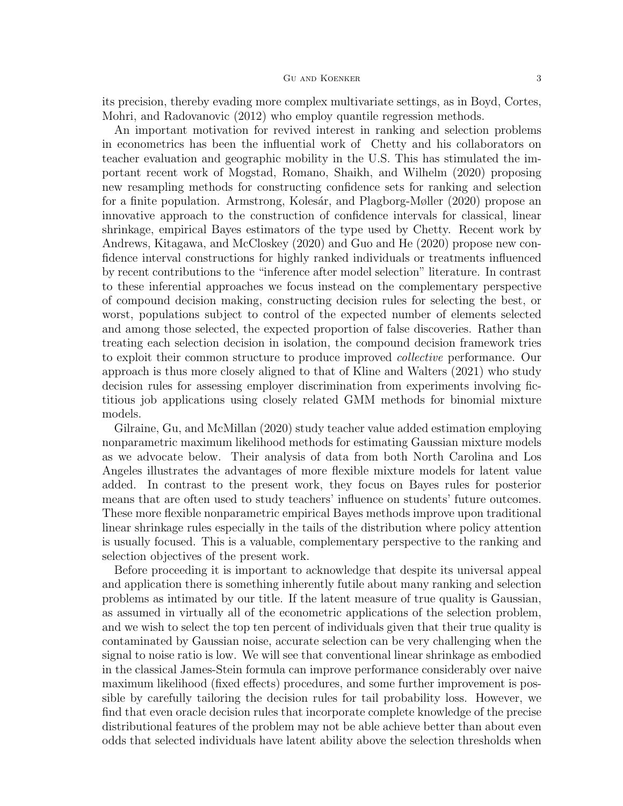its precision, thereby evading more complex multivariate settings, as in Boyd, Cortes, Mohri, and Radovanovic (2012) who employ quantile regression methods.

An important motivation for revived interest in ranking and selection problems in econometrics has been the influential work of Chetty and his collaborators on teacher evaluation and geographic mobility in the U.S. This has stimulated the important recent work of Mogstad, Romano, Shaikh, and Wilhelm (2020) proposing new resampling methods for constructing confidence sets for ranking and selection for a finite population. Armstrong, Kolesár, and Plagborg-Møller (2020) propose an innovative approach to the construction of confidence intervals for classical, linear shrinkage, empirical Bayes estimators of the type used by Chetty. Recent work by Andrews, Kitagawa, and McCloskey (2020) and Guo and He (2020) propose new confidence interval constructions for highly ranked individuals or treatments influenced by recent contributions to the "inference after model selection" literature. In contrast to these inferential approaches we focus instead on the complementary perspective of compound decision making, constructing decision rules for selecting the best, or worst, populations subject to control of the expected number of elements selected and among those selected, the expected proportion of false discoveries. Rather than treating each selection decision in isolation, the compound decision framework tries to exploit their common structure to produce improved collective performance. Our approach is thus more closely aligned to that of Kline and Walters (2021) who study decision rules for assessing employer discrimination from experiments involving fictitious job applications using closely related GMM methods for binomial mixture models.

Gilraine, Gu, and McMillan (2020) study teacher value added estimation employing nonparametric maximum likelihood methods for estimating Gaussian mixture models as we advocate below. Their analysis of data from both North Carolina and Los Angeles illustrates the advantages of more flexible mixture models for latent value added. In contrast to the present work, they focus on Bayes rules for posterior means that are often used to study teachers' influence on students' future outcomes. These more flexible nonparametric empirical Bayes methods improve upon traditional linear shrinkage rules especially in the tails of the distribution where policy attention is usually focused. This is a valuable, complementary perspective to the ranking and selection objectives of the present work.

Before proceeding it is important to acknowledge that despite its universal appeal and application there is something inherently futile about many ranking and selection problems as intimated by our title. If the latent measure of true quality is Gaussian, as assumed in virtually all of the econometric applications of the selection problem, and we wish to select the top ten percent of individuals given that their true quality is contaminated by Gaussian noise, accurate selection can be very challenging when the signal to noise ratio is low. We will see that conventional linear shrinkage as embodied in the classical James-Stein formula can improve performance considerably over naive maximum likelihood (fixed effects) procedures, and some further improvement is possible by carefully tailoring the decision rules for tail probability loss. However, we find that even oracle decision rules that incorporate complete knowledge of the precise distributional features of the problem may not be able achieve better than about even odds that selected individuals have latent ability above the selection thresholds when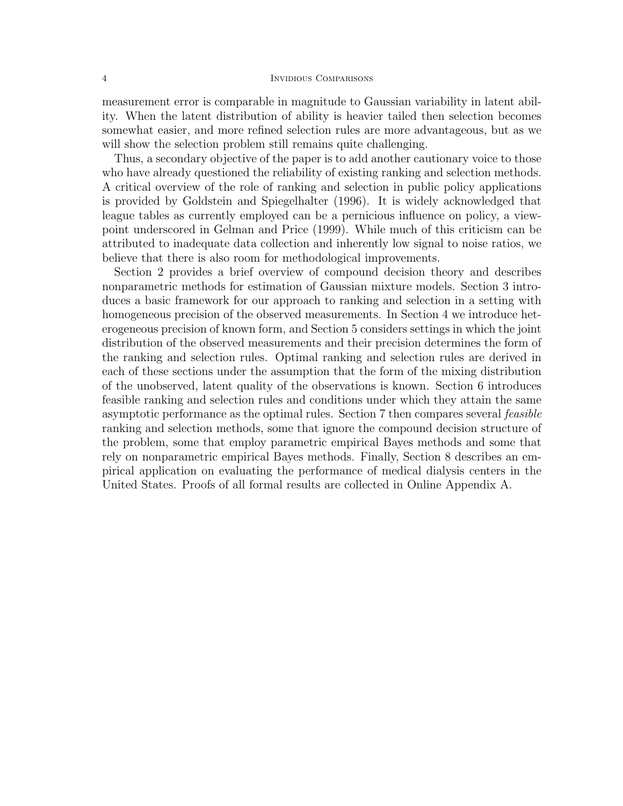## 4 Invidious Comparisons

measurement error is comparable in magnitude to Gaussian variability in latent ability. When the latent distribution of ability is heavier tailed then selection becomes somewhat easier, and more refined selection rules are more advantageous, but as we will show the selection problem still remains quite challenging.

Thus, a secondary objective of the paper is to add another cautionary voice to those who have already questioned the reliability of existing ranking and selection methods. A critical overview of the role of ranking and selection in public policy applications is provided by Goldstein and Spiegelhalter (1996). It is widely acknowledged that league tables as currently employed can be a pernicious influence on policy, a viewpoint underscored in Gelman and Price (1999). While much of this criticism can be attributed to inadequate data collection and inherently low signal to noise ratios, we believe that there is also room for methodological improvements.

Section 2 provides a brief overview of compound decision theory and describes nonparametric methods for estimation of Gaussian mixture models. Section 3 introduces a basic framework for our approach to ranking and selection in a setting with homogeneous precision of the observed measurements. In Section 4 we introduce heterogeneous precision of known form, and Section 5 considers settings in which the joint distribution of the observed measurements and their precision determines the form of the ranking and selection rules. Optimal ranking and selection rules are derived in each of these sections under the assumption that the form of the mixing distribution of the unobserved, latent quality of the observations is known. Section 6 introduces feasible ranking and selection rules and conditions under which they attain the same asymptotic performance as the optimal rules. Section 7 then compares several feasible ranking and selection methods, some that ignore the compound decision structure of the problem, some that employ parametric empirical Bayes methods and some that rely on nonparametric empirical Bayes methods. Finally, Section 8 describes an empirical application on evaluating the performance of medical dialysis centers in the United States. Proofs of all formal results are collected in Online Appendix A.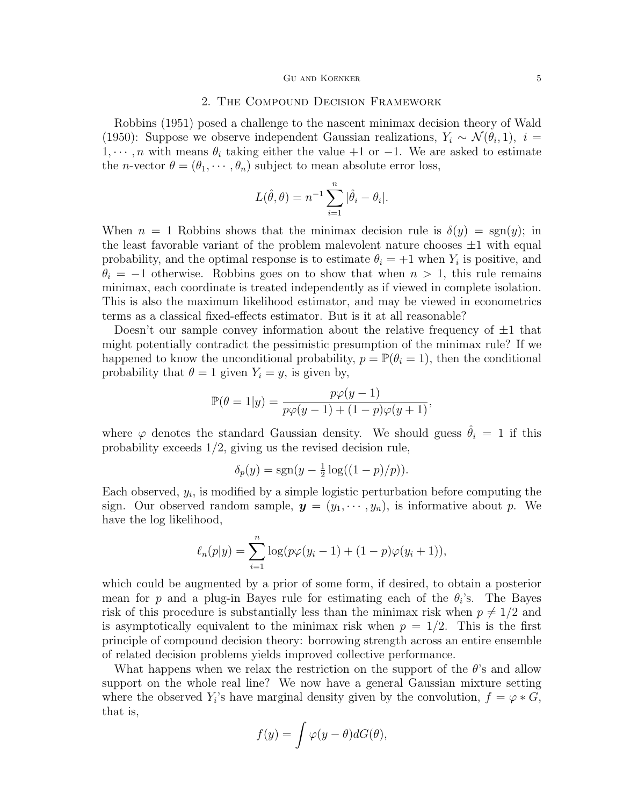## 2. The Compound Decision Framework

Robbins (1951) posed a challenge to the nascent minimax decision theory of Wald (1950): Suppose we observe independent Gaussian realizations,  $Y_i \sim \mathcal{N}(\theta_i, 1)$ ,  $i =$  $1, \dots, n$  with means  $\theta_i$  taking either the value +1 or −1. We are asked to estimate the *n*-vector  $\theta = (\theta_1, \dots, \theta_n)$  subject to mean absolute error loss,

$$
L(\hat{\theta}, \theta) = n^{-1} \sum_{i=1}^{n} |\hat{\theta}_i - \theta_i|.
$$

When  $n = 1$  Robbins shows that the minimax decision rule is  $\delta(y) = \text{sgn}(y)$ ; in the least favorable variant of the problem malevolent nature chooses  $\pm 1$  with equal probability, and the optimal response is to estimate  $\theta_i = +1$  when  $Y_i$  is positive, and  $\theta_i = -1$  otherwise. Robbins goes on to show that when  $n > 1$ , this rule remains minimax, each coordinate is treated independently as if viewed in complete isolation. This is also the maximum likelihood estimator, and may be viewed in econometrics terms as a classical fixed-effects estimator. But is it at all reasonable?

Doesn't our sample convey information about the relative frequency of  $\pm 1$  that might potentially contradict the pessimistic presumption of the minimax rule? If we happened to know the unconditional probability,  $p = \mathbb{P}(\theta_i = 1)$ , then the conditional probability that  $\theta = 1$  given  $Y_i = y$ , is given by,

$$
\mathbb{P}(\theta = 1|y) = \frac{p\varphi(y-1)}{p\varphi(y-1) + (1-p)\varphi(y+1)},
$$

where  $\varphi$  denotes the standard Gaussian density. We should guess  $\hat{\theta}_i = 1$  if this probability exceeds 1/2, giving us the revised decision rule,

$$
\delta_p(y) = \text{sgn}(y - \frac{1}{2}\log((1-p)/p)).
$$

Each observed,  $y_i$ , is modified by a simple logistic perturbation before computing the sign. Our observed random sample,  $y = (y_1, \dots, y_n)$ , is informative about p. We have the log likelihood,

$$
\ell_n(p|y) = \sum_{i=1}^n \log(p\varphi(y_i-1) + (1-p)\varphi(y_i+1)),
$$

which could be augmented by a prior of some form, if desired, to obtain a posterior mean for p and a plug-in Bayes rule for estimating each of the  $\theta_i$ 's. The Bayes risk of this procedure is substantially less than the minimax risk when  $p \neq 1/2$  and is asymptotically equivalent to the minimax risk when  $p = 1/2$ . This is the first principle of compound decision theory: borrowing strength across an entire ensemble of related decision problems yields improved collective performance.

What happens when we relax the restriction on the support of the  $\theta$ 's and allow support on the whole real line? We now have a general Gaussian mixture setting where the observed  $Y_i$ 's have marginal density given by the convolution,  $f = \varphi * G$ , that is,

$$
f(y) = \int \varphi(y - \theta) dG(\theta),
$$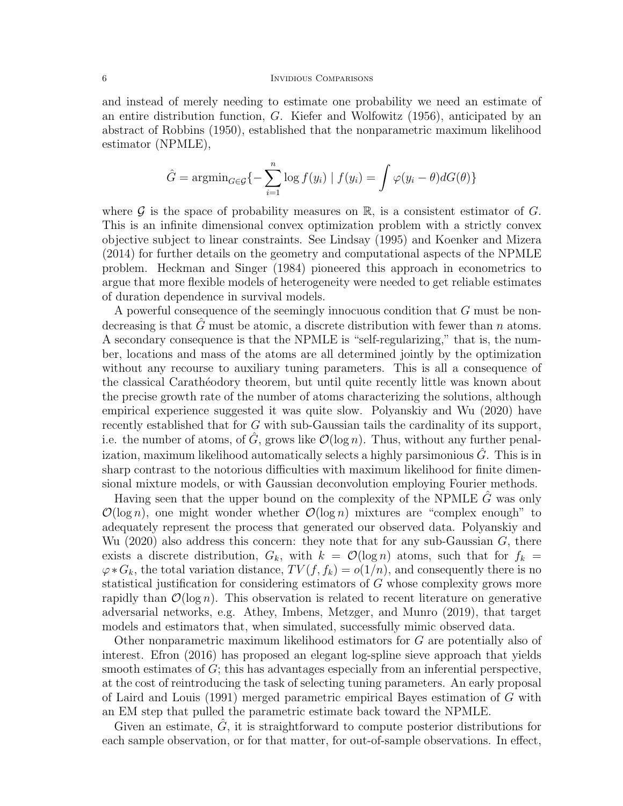## 6 INVIDIOUS COMPARISONS

and instead of merely needing to estimate one probability we need an estimate of an entire distribution function, G. Kiefer and Wolfowitz (1956), anticipated by an abstract of Robbins (1950), established that the nonparametric maximum likelihood estimator (NPMLE),

$$
\hat{G} = \operatorname{argmin}_{G \in \mathcal{G}} \{ - \sum_{i=1}^{n} \log f(y_i) \mid f(y_i) = \int \varphi(y_i - \theta) dG(\theta) \}
$$

where  $\mathcal G$  is the space of probability measures on  $\mathbb R$ , is a consistent estimator of  $G$ . This is an infinite dimensional convex optimization problem with a strictly convex objective subject to linear constraints. See Lindsay (1995) and Koenker and Mizera (2014) for further details on the geometry and computational aspects of the NPMLE problem. Heckman and Singer (1984) pioneered this approach in econometrics to argue that more flexible models of heterogeneity were needed to get reliable estimates of duration dependence in survival models.

A powerful consequence of the seemingly innocuous condition that G must be nondecreasing is that G must be atomic, a discrete distribution with fewer than  $n$  atoms. A secondary consequence is that the NPMLE is "self-regularizing," that is, the number, locations and mass of the atoms are all determined jointly by the optimization without any recourse to auxiliary tuning parameters. This is all a consequence of the classical Caratherodory theorem, but until quite recently little was known about the precise growth rate of the number of atoms characterizing the solutions, although empirical experience suggested it was quite slow. Polyanskiy and Wu (2020) have recently established that for G with sub-Gaussian tails the cardinality of its support, i.e. the number of atoms, of  $\hat{G}$ , grows like  $\mathcal{O}(\log n)$ . Thus, without any further penalization, maximum likelihood automatically selects a highly parsimonious  $\tilde{G}$ . This is in sharp contrast to the notorious difficulties with maximum likelihood for finite dimensional mixture models, or with Gaussian deconvolution employing Fourier methods.

Having seen that the upper bound on the complexity of the NPMLE  $\hat{G}$  was only  $\mathcal{O}(\log n)$ , one might wonder whether  $\mathcal{O}(\log n)$  mixtures are "complex enough" to adequately represent the process that generated our observed data. Polyanskiy and Wu (2020) also address this concern: they note that for any sub-Gaussian  $G$ , there exists a discrete distribution,  $G_k$ , with  $k = \mathcal{O}(\log n)$  atoms, such that for  $f_k =$  $\varphi * G_k$ , the total variation distance,  $TV(f, f_k) = o(1/n)$ , and consequently there is no statistical justification for considering estimators of G whose complexity grows more rapidly than  $\mathcal{O}(\log n)$ . This observation is related to recent literature on generative adversarial networks, e.g. Athey, Imbens, Metzger, and Munro (2019), that target models and estimators that, when simulated, successfully mimic observed data.

Other nonparametric maximum likelihood estimators for G are potentially also of interest. Efron (2016) has proposed an elegant log-spline sieve approach that yields smooth estimates of  $G$ ; this has advantages especially from an inferential perspective, at the cost of reintroducing the task of selecting tuning parameters. An early proposal of Laird and Louis (1991) merged parametric empirical Bayes estimation of G with an EM step that pulled the parametric estimate back toward the NPMLE.

Given an estimate,  $\tilde{G}$ , it is straightforward to compute posterior distributions for each sample observation, or for that matter, for out-of-sample observations. In effect,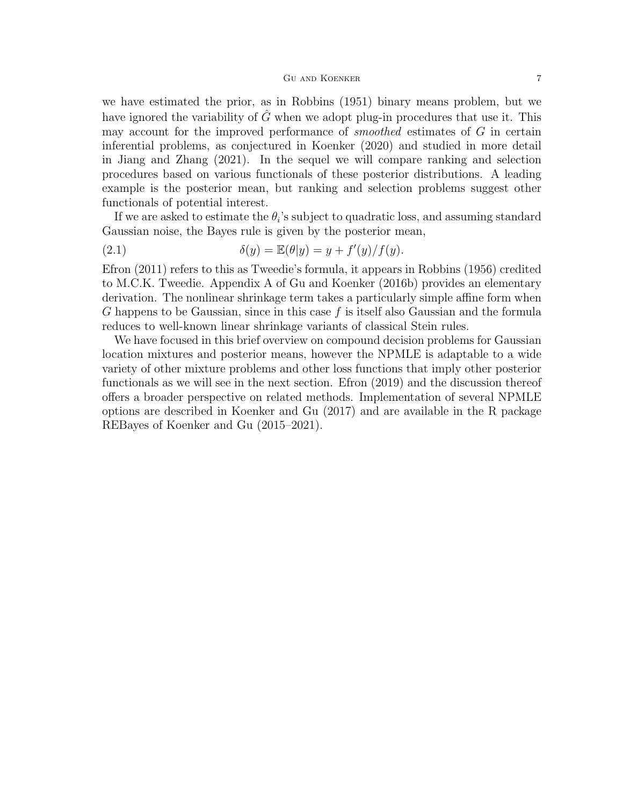#### GU AND KOENKER 7

we have estimated the prior, as in Robbins (1951) binary means problem, but we have ignored the variability of  $\hat{G}$  when we adopt plug-in procedures that use it. This may account for the improved performance of smoothed estimates of G in certain inferential problems, as conjectured in Koenker (2020) and studied in more detail in Jiang and Zhang (2021). In the sequel we will compare ranking and selection procedures based on various functionals of these posterior distributions. A leading example is the posterior mean, but ranking and selection problems suggest other functionals of potential interest.

If we are asked to estimate the  $\theta_i$ 's subject to quadratic loss, and assuming standard Gaussian noise, the Bayes rule is given by the posterior mean,

(2.1) 
$$
\delta(y) = \mathbb{E}(\theta|y) = y + f'(y)/f(y).
$$

Efron (2011) refers to this as Tweedie's formula, it appears in Robbins (1956) credited to M.C.K. Tweedie. Appendix A of Gu and Koenker (2016b) provides an elementary derivation. The nonlinear shrinkage term takes a particularly simple affine form when G happens to be Gaussian, since in this case  $f$  is itself also Gaussian and the formula reduces to well-known linear shrinkage variants of classical Stein rules.

We have focused in this brief overview on compound decision problems for Gaussian location mixtures and posterior means, however the NPMLE is adaptable to a wide variety of other mixture problems and other loss functions that imply other posterior functionals as we will see in the next section. Efron (2019) and the discussion thereof offers a broader perspective on related methods. Implementation of several NPMLE options are described in Koenker and Gu (2017) and are available in the R package REBayes of Koenker and Gu (2015–2021).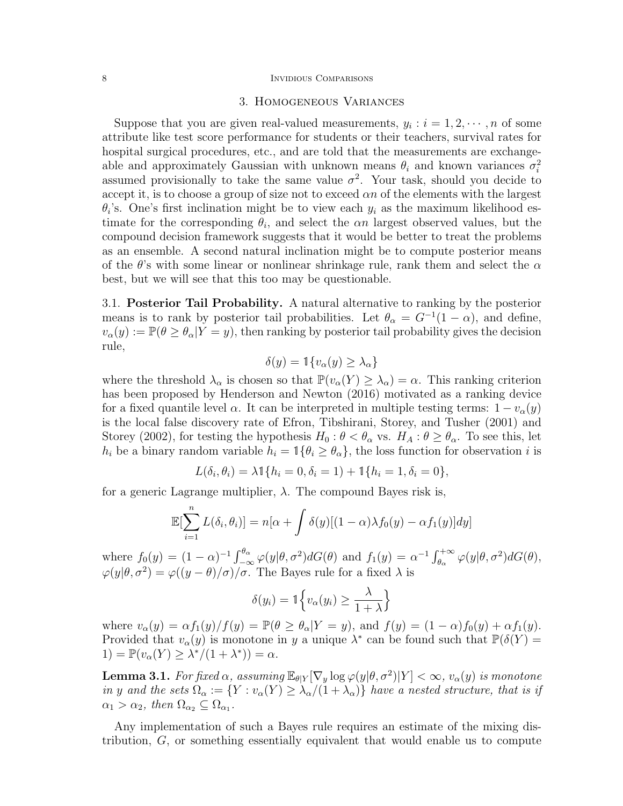#### 8 INVIDIOUS COMPARISONS

# 3. Homogeneous Variances

Suppose that you are given real-valued measurements,  $y_i : i = 1, 2, \dots, n$  of some attribute like test score performance for students or their teachers, survival rates for hospital surgical procedures, etc., and are told that the measurements are exchangeable and approximately Gaussian with unknown means  $\theta_i$  and known variances  $\sigma_i^2$ assumed provisionally to take the same value  $\sigma^2$ . Your task, should you decide to accept it, is to choose a group of size not to exceed  $\alpha n$  of the elements with the largest  $\theta_i$ 's. One's first inclination might be to view each  $y_i$  as the maximum likelihood estimate for the corresponding  $\theta_i$ , and select the  $\alpha n$  largest observed values, but the compound decision framework suggests that it would be better to treat the problems as an ensemble. A second natural inclination might be to compute posterior means of the  $\theta$ 's with some linear or nonlinear shrinkage rule, rank them and select the  $\alpha$ best, but we will see that this too may be questionable.

3.1. Posterior Tail Probability. A natural alternative to ranking by the posterior means is to rank by posterior tail probabilities. Let  $\theta_{\alpha} = G^{-1}(1-\alpha)$ , and define,  $v_{\alpha}(y) := \mathbb{P}(\theta \ge \theta_{\alpha}|Y = y)$ , then ranking by posterior tail probability gives the decision rule,

$$
\delta(y) = \mathbb{1}\{v_{\alpha}(y) \ge \lambda_{\alpha}\}\
$$

where the threshold  $\lambda_{\alpha}$  is chosen so that  $\mathbb{P}(v_{\alpha}(Y) \geq \lambda_{\alpha}) = \alpha$ . This ranking criterion has been proposed by Henderson and Newton (2016) motivated as a ranking device for a fixed quantile level  $\alpha$ . It can be interpreted in multiple testing terms:  $1 - v_{\alpha}(y)$ is the local false discovery rate of Efron, Tibshirani, Storey, and Tusher (2001) and Storey (2002), for testing the hypothesis  $H_0$  :  $\theta < \theta_\alpha$  vs.  $H_A$  :  $\theta \ge \theta_\alpha$ . To see this, let  $h_i$  be a binary random variable  $h_i = \mathbb{1}\{\theta_i \geq \theta_\alpha\}$ , the loss function for observation i is

$$
L(\delta_i, \theta_i) = \lambda \mathbb{1}\{h_i = 0, \delta_i = 1\} + \mathbb{1}\{h_i = 1, \delta_i = 0\},\
$$

for a generic Lagrange multiplier,  $\lambda$ . The compound Bayes risk is,

$$
\mathbb{E}[\sum_{i=1}^{n} L(\delta_i, \theta_i)] = n[\alpha + \int \delta(y)[(1-\alpha)\lambda f_0(y) - \alpha f_1(y)]dy]
$$

where  $f_0(y) = (1 - \alpha)^{-1} \int_{-\infty}^{\theta_\alpha} \varphi(y|\theta, \sigma^2) dG(\theta)$  and  $f_1(y) = \alpha^{-1} \int_{\theta_\alpha}^{+\infty} \varphi(y|\theta, \sigma^2) dG(\theta)$ ,  $\varphi(y|\theta, \sigma^2) = \varphi((y - \theta)/\sigma)/\sigma$ . The Bayes rule for a fixed  $\lambda$  is

$$
\delta(y_i) = \mathbb{1}\Big\{v_\alpha(y_i) \ge \frac{\lambda}{1+\lambda}\Big\}
$$

where  $v_{\alpha}(y) = \alpha f_1(y)/f(y) = \mathbb{P}(\theta \ge \theta_{\alpha}|Y=y)$ , and  $f(y) = (1-\alpha)f_0(y) + \alpha f_1(y)$ . Provided that  $v_\alpha(y)$  is monotone in y a unique  $\lambda^*$  can be found such that  $\mathbb{P}(\delta(Y))$ 1) =  $\mathbb{P}(v_{\alpha}(Y) \geq \lambda^*/(1+\lambda^*)) = \alpha.$ 

**Lemma 3.1.** For fixed  $\alpha$ , assuming  $\mathbb{E}_{\theta|Y}[\nabla_y \log \varphi(y|\theta, \sigma^2)|Y] < \infty$ ,  $v_\alpha(y)$  is monotone in y and the sets  $\Omega_{\alpha} := \{ Y : v_{\alpha}(Y) \geq \lambda_{\alpha}/(1+\lambda_{\alpha}) \}$  have a nested structure, that is if  $\alpha_1 > \alpha_2$ , then  $\Omega_{\alpha_2} \subseteq \Omega_{\alpha_1}$ .

Any implementation of such a Bayes rule requires an estimate of the mixing distribution, G, or something essentially equivalent that would enable us to compute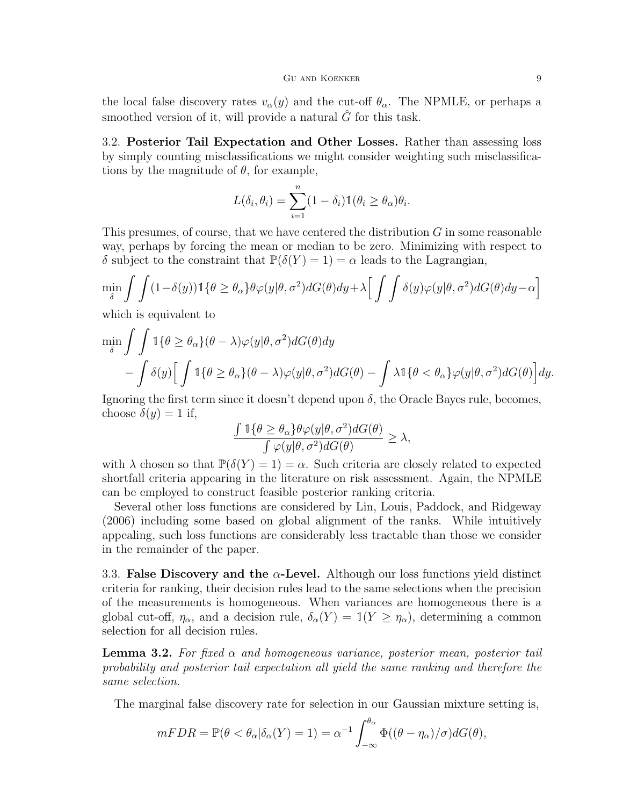the local false discovery rates  $v_{\alpha}(y)$  and the cut-off  $\theta_{\alpha}$ . The NPMLE, or perhaps a smoothed version of it, will provide a natural  $\hat{G}$  for this task.

3.2. Posterior Tail Expectation and Other Losses. Rather than assessing loss by simply counting misclassifications we might consider weighting such misclassifications by the magnitude of  $\theta$ , for example,

$$
L(\delta_i, \theta_i) = \sum_{i=1}^n (1 - \delta_i) \mathbb{1}(\theta_i \ge \theta_\alpha) \theta_i.
$$

This presumes, of course, that we have centered the distribution G in some reasonable way, perhaps by forcing the mean or median to be zero. Minimizing with respect to δ subject to the constraint that  $\mathbb{P}(\delta(Y) = 1) = \alpha$  leads to the Lagrangian,

$$
\min_{\delta} \int \int (1 - \delta(y)) \mathbb{1}\{\theta \ge \theta_{\alpha}\} \theta \varphi(y|\theta, \sigma^2) dG(\theta) dy + \lambda \Big[ \int \int \delta(y) \varphi(y|\theta, \sigma^2) dG(\theta) dy - \alpha \Big]
$$

which is equivalent to

$$
\min_{\delta} \int \int \mathbb{1} \{\theta \ge \theta_{\alpha}\} (\theta - \lambda) \varphi(y|\theta, \sigma^2) dG(\theta) dy - \int \delta(y) \Big[ \int \mathbb{1} \{\theta \ge \theta_{\alpha}\} (\theta - \lambda) \varphi(y|\theta, \sigma^2) dG(\theta) - \int \lambda \mathbb{1} \{\theta < \theta_{\alpha}\} \varphi(y|\theta, \sigma^2) dG(\theta) \Big] dy.
$$

Ignoring the first term since it doesn't depend upon  $\delta$ , the Oracle Bayes rule, becomes, choose  $\delta(y) = 1$  if,

$$
\frac{\int \mathbb{1}\{\theta \ge \theta_{\alpha}\}\theta \varphi(y|\theta, \sigma^2)dG(\theta)}{\int \varphi(y|\theta, \sigma^2)dG(\theta)} \ge \lambda,
$$

with  $\lambda$  chosen so that  $\mathbb{P}(\delta(Y) = 1) = \alpha$ . Such criteria are closely related to expected shortfall criteria appearing in the literature on risk assessment. Again, the NPMLE can be employed to construct feasible posterior ranking criteria.

Several other loss functions are considered by Lin, Louis, Paddock, and Ridgeway (2006) including some based on global alignment of the ranks. While intuitively appealing, such loss functions are considerably less tractable than those we consider in the remainder of the paper.

3.3. False Discovery and the  $\alpha$ -Level. Although our loss functions yield distinct criteria for ranking, their decision rules lead to the same selections when the precision of the measurements is homogeneous. When variances are homogeneous there is a global cut-off,  $\eta_{\alpha}$ , and a decision rule,  $\delta_{\alpha}(Y) = \mathbb{1}(Y \geq \eta_{\alpha})$ , determining a common selection for all decision rules.

**Lemma 3.2.** For fixed  $\alpha$  and homogeneous variance, posterior mean, posterior tail probability and posterior tail expectation all yield the same ranking and therefore the same selection.

The marginal false discovery rate for selection in our Gaussian mixture setting is,

$$
mFDR = \mathbb{P}(\theta < \theta_{\alpha} | \delta_{\alpha}(Y) = 1) = \alpha^{-1} \int_{-\infty}^{\theta_{\alpha}} \Phi((\theta - \eta_{\alpha}) / \sigma) dG(\theta),
$$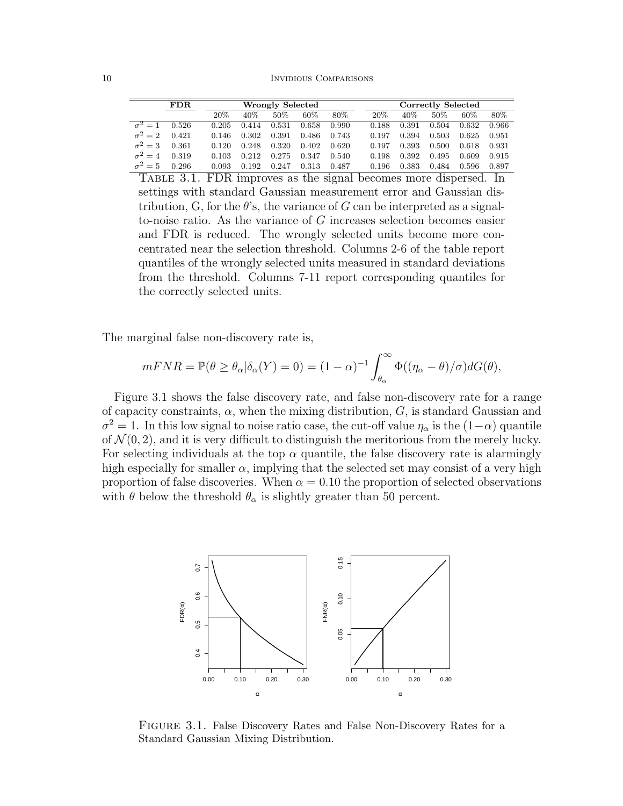|                | FDR.  |        | <b>Wrongly Selected</b> |       |        |       | Correctly Selected |       |        |        |       |
|----------------|-------|--------|-------------------------|-------|--------|-------|--------------------|-------|--------|--------|-------|
|                |       | $20\%$ | $40\%$                  | 50%   | $60\%$ | 80\%  | 20\%               | 40\%  | $50\%$ | $60\%$ | 80\%  |
| $\sigma^2=1$   | 0.526 | 0.205  | 0.414                   | 0.531 | 0.658  | 0.990 | 0.188              | 0.391 | 0.504  | 0.632  | 0.966 |
| $\sigma^2=2$   | 0.421 | 0.146  | 0.302                   | 0.391 | 0.486  | 0.743 | 0.197              | 0.394 | 0.503  | 0.625  | 0.951 |
| $\sigma^2=3$   | 0.361 | 0.120  | 0.248                   | 0.320 | 0.402  | 0.620 | 0.197              | 0.393 | 0.500  | 0.618  | 0.931 |
| $\sigma^2 = 4$ | 0.319 | 0.103  | 0.212                   | 0.275 | 0.347  | 0.540 | 0.198              | 0.392 | 0.495  | 0.609  | 0.915 |
| $\sigma^2=5$   | 0.296 | 0.093  | 0.192                   | 0.247 | 0.313  | 0.487 | 0.196              | 0.383 | 0.484  | 0.596  | 0.897 |

TABLE 3.1. FDR improves as the signal becomes more dispersed. In settings with standard Gaussian measurement error and Gaussian distribution, G, for the  $\theta$ 's, the variance of G can be interpreted as a signalto-noise ratio. As the variance of G increases selection becomes easier and FDR is reduced. The wrongly selected units become more concentrated near the selection threshold. Columns 2-6 of the table report quantiles of the wrongly selected units measured in standard deviations from the threshold. Columns 7-11 report corresponding quantiles for the correctly selected units.

The marginal false non-discovery rate is,

$$
mFNR = \mathbb{P}(\theta \ge \theta_{\alpha}|\delta_{\alpha}(Y) = 0) = (1 - \alpha)^{-1} \int_{\theta_{\alpha}}^{\infty} \Phi((\eta_{\alpha} - \theta)/\sigma) dG(\theta),
$$

Figure 3.1 shows the false discovery rate, and false non-discovery rate for a range of capacity constraints,  $\alpha$ , when the mixing distribution,  $G$ , is standard Gaussian and  $\sigma^2 = 1$ . In this low signal to noise ratio case, the cut-off value  $\eta_\alpha$  is the  $(1-\alpha)$  quantile of  $\mathcal{N}(0, 2)$ , and it is very difficult to distinguish the meritorious from the merely lucky. For selecting individuals at the top  $\alpha$  quantile, the false discovery rate is alarmingly high especially for smaller  $\alpha$ , implying that the selected set may consist of a very high proportion of false discoveries. When  $\alpha = 0.10$  the proportion of selected observations with  $\theta$  below the threshold  $\theta_{\alpha}$  is slightly greater than 50 percent.



Figure 3.1. False Discovery Rates and False Non-Discovery Rates for a Standard Gaussian Mixing Distribution.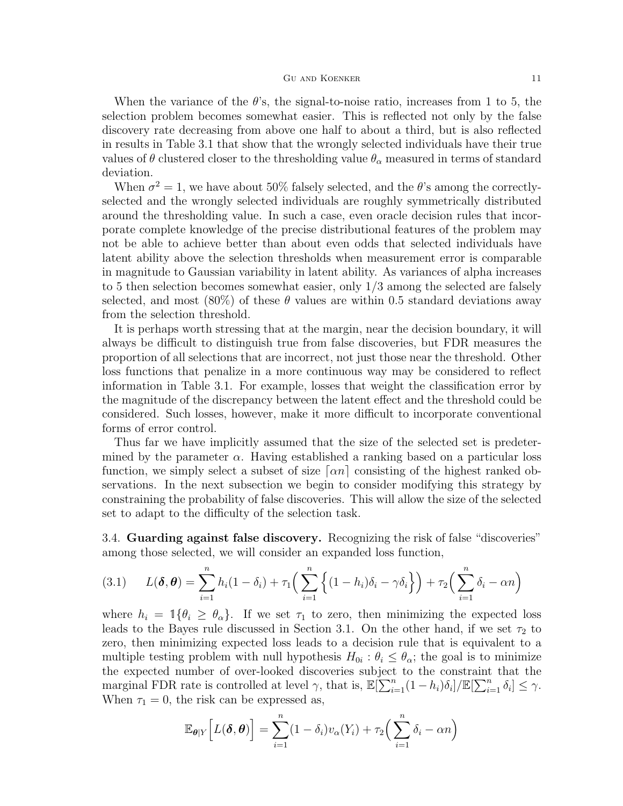## GU AND KOENKER 11

When the variance of the  $\theta$ 's, the signal-to-noise ratio, increases from 1 to 5, the selection problem becomes somewhat easier. This is reflected not only by the false discovery rate decreasing from above one half to about a third, but is also reflected in results in Table 3.1 that show that the wrongly selected individuals have their true values of  $\theta$  clustered closer to the thresholding value  $\theta_{\alpha}$  measured in terms of standard deviation.

When  $\sigma^2 = 1$ , we have about 50% falsely selected, and the  $\theta$ 's among the correctlyselected and the wrongly selected individuals are roughly symmetrically distributed around the thresholding value. In such a case, even oracle decision rules that incorporate complete knowledge of the precise distributional features of the problem may not be able to achieve better than about even odds that selected individuals have latent ability above the selection thresholds when measurement error is comparable in magnitude to Gaussian variability in latent ability. As variances of alpha increases to 5 then selection becomes somewhat easier, only 1/3 among the selected are falsely selected, and most  $(80\%)$  of these  $\theta$  values are within 0.5 standard deviations away from the selection threshold.

It is perhaps worth stressing that at the margin, near the decision boundary, it will always be difficult to distinguish true from false discoveries, but FDR measures the proportion of all selections that are incorrect, not just those near the threshold. Other loss functions that penalize in a more continuous way may be considered to reflect information in Table 3.1. For example, losses that weight the classification error by the magnitude of the discrepancy between the latent effect and the threshold could be considered. Such losses, however, make it more difficult to incorporate conventional forms of error control.

Thus far we have implicitly assumed that the size of the selected set is predetermined by the parameter  $\alpha$ . Having established a ranking based on a particular loss function, we simply select a subset of size  $\lceil \alpha n \rceil$  consisting of the highest ranked observations. In the next subsection we begin to consider modifying this strategy by constraining the probability of false discoveries. This will allow the size of the selected set to adapt to the difficulty of the selection task.

3.4. Guarding against false discovery. Recognizing the risk of false "discoveries" among those selected, we will consider an expanded loss function,

$$
(3.1) \qquad L(\boldsymbol{\delta}, \boldsymbol{\theta}) = \sum_{i=1}^{n} h_i (1 - \delta_i) + \tau_1 \Big( \sum_{i=1}^{n} \Big\{ (1 - h_i) \delta_i - \gamma \delta_i \Big\} \Big) + \tau_2 \Big( \sum_{i=1}^{n} \delta_i - \alpha n \Big)
$$

where  $h_i = \mathbb{1}\{\theta_i \geq \theta_\alpha\}$ . If we set  $\tau_1$  to zero, then minimizing the expected loss leads to the Bayes rule discussed in Section 3.1. On the other hand, if we set  $\tau_2$  to zero, then minimizing expected loss leads to a decision rule that is equivalent to a multiple testing problem with null hypothesis  $H_{0i}$ :  $\theta_i \leq \theta_{\alpha}$ ; the goal is to minimize the expected number of over-looked discoveries subject to the constraint that the marginal FDR rate is controlled at level  $\gamma$ , that is,  $\mathbb{E}[\sum_{i=1}^{n} (1-h_i)\delta_i]/\mathbb{E}[\sum_{i=1}^{n} \delta_i] \leq \gamma$ . When  $\tau_1 = 0$ , the risk can be expressed as,

$$
\mathbb{E}_{\boldsymbol{\theta}|Y}\Big[L(\boldsymbol{\delta},\boldsymbol{\theta})\Big] = \sum_{i=1}^n (1-\delta_i)v_{\alpha}(Y_i) + \tau_2\Big(\sum_{i=1}^n \delta_i - \alpha n\Big)
$$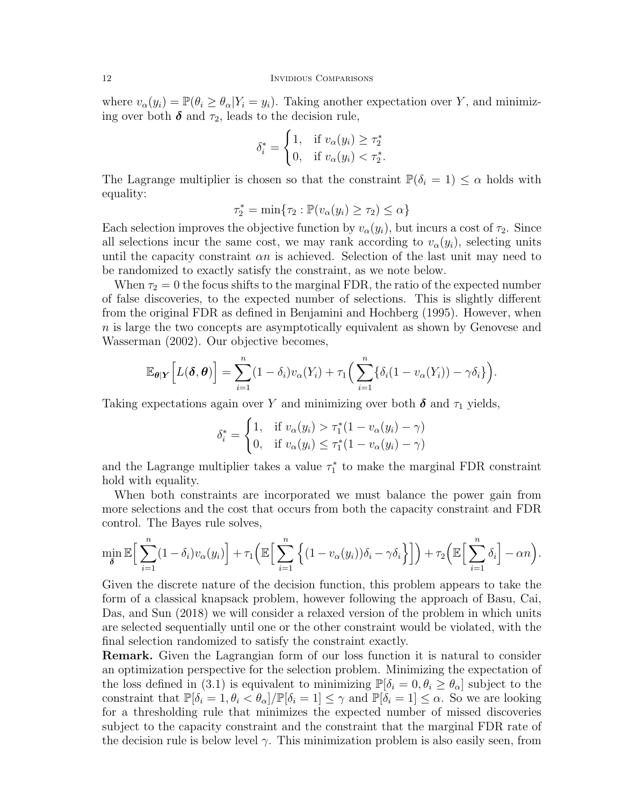## 12 INVIDIOUS COMPARISONS

where  $v_{\alpha}(y_i) = \mathbb{P}(\theta_i \ge \theta_{\alpha}|Y_i = y_i)$ . Taking another expectation over Y, and minimizing over both  $\delta$  and  $\tau_2$ , leads to the decision rule,

$$
\delta_i^* = \begin{cases} 1, & \text{if } v_\alpha(y_i) \ge \tau_2^* \\ 0, & \text{if } v_\alpha(y_i) < \tau_2^* . \end{cases}
$$

The Lagrange multiplier is chosen so that the constraint  $\mathbb{P}(\delta_i = 1) \leq \alpha$  holds with equality:

 $\tau_2^* = \min\{\tau_2 : \mathbb{P}(v_\alpha(y_i) \geq \tau_2) \leq \alpha\}$ 

Each selection improves the objective function by  $v_{\alpha}(y_i)$ , but incurs a cost of  $\tau_2$ . Since all selections incur the same cost, we may rank according to  $v_{\alpha}(y_i)$ , selecting units until the capacity constraint  $\alpha n$  is achieved. Selection of the last unit may need to be randomized to exactly satisfy the constraint, as we note below.

When  $\tau_2 = 0$  the focus shifts to the marginal FDR, the ratio of the expected number of false discoveries, to the expected number of selections. This is slightly different from the original FDR as defined in Benjamini and Hochberg (1995). However, when n is large the two concepts are asymptotically equivalent as shown by Genovese and Wasserman (2002). Our objective becomes,

$$
\mathbb{E}_{\boldsymbol{\theta}|\boldsymbol{Y}}\Big[L(\boldsymbol{\delta},\boldsymbol{\theta})\Big] = \sum_{i=1}^n (1-\delta_i) v_{\alpha}(Y_i) + \tau_1 \Big(\sum_{i=1}^n \{\delta_i(1-v_{\alpha}(Y_i)) - \gamma \delta_i\}\Big).
$$

Taking expectations again over Y and minimizing over both  $\delta$  and  $\tau_1$  yields,

$$
\delta_i^* = \begin{cases} 1, & \text{if } v_{\alpha}(y_i) > \tau_1^*(1 - v_{\alpha}(y_i) - \gamma) \\ 0, & \text{if } v_{\alpha}(y_i) \le \tau_1^*(1 - v_{\alpha}(y_i) - \gamma) \end{cases}
$$

and the Lagrange multiplier takes a value  $\tau_1^*$  to make the marginal FDR constraint hold with equality.

When both constraints are incorporated we must balance the power gain from more selections and the cost that occurs from both the capacity constraint and FDR control. The Bayes rule solves,

$$
\min_{\delta} \mathbb{E}\Big[\sum_{i=1}^n (1-\delta_i) v_{\alpha}(y_i)\Big] + \tau_1 \Big(\mathbb{E}\Big[\sum_{i=1}^n \Big\{ (1-v_{\alpha}(y_i))\delta_i - \gamma \delta_i \Big\} \Big]\Big) + \tau_2 \Big(\mathbb{E}\Big[\sum_{i=1}^n \delta_i\Big] - \alpha n\Big).
$$

Given the discrete nature of the decision function, this problem appears to take the form of a classical knapsack problem, however following the approach of Basu, Cai, Das, and Sun (2018) we will consider a relaxed version of the problem in which units are selected sequentially until one or the other constraint would be violated, with the final selection randomized to satisfy the constraint exactly.

Remark. Given the Lagrangian form of our loss function it is natural to consider an optimization perspective for the selection problem. Minimizing the expectation of the loss defined in (3.1) is equivalent to minimizing  $\mathbb{P}[\delta_i = 0, \theta_i \geq \theta_\alpha]$  subject to the constraint that  $\mathbb{P}[\delta_i = 1, \theta_i < \theta_\alpha] / \mathbb{P}[\delta_i = 1] \leq \gamma$  and  $\mathbb{P}[\delta_i = 1] \leq \alpha$ . So we are looking for a thresholding rule that minimizes the expected number of missed discoveries subject to the capacity constraint and the constraint that the marginal FDR rate of the decision rule is below level  $\gamma$ . This minimization problem is also easily seen, from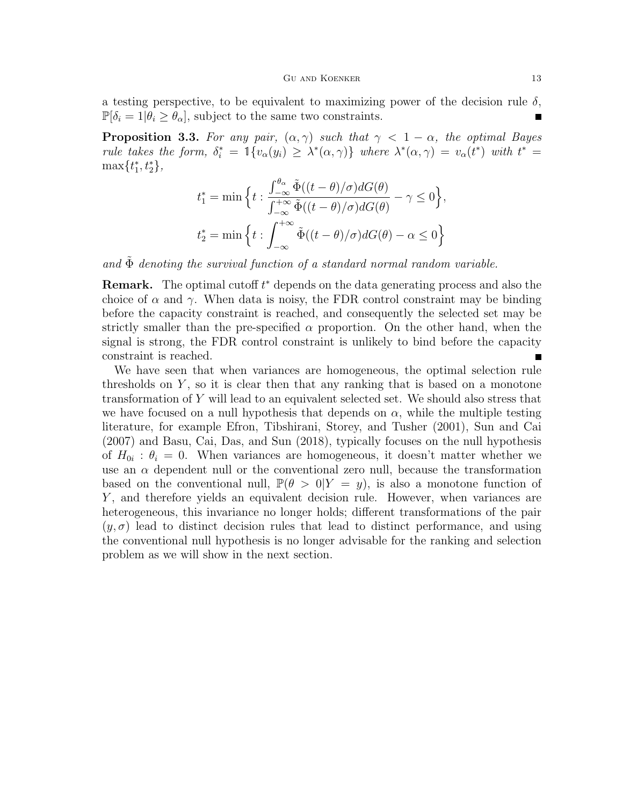a testing perspective, to be equivalent to maximizing power of the decision rule  $\delta$ ,  $\mathbb{P}[\delta_i = 1 | \theta_i \geq \theta_\alpha]$ , subject to the same two constraints.

**Proposition 3.3.** For any pair,  $(\alpha, \gamma)$  such that  $\gamma < 1 - \alpha$ , the optimal Bayes rule takes the form,  $\delta_i^* = \mathbb{1}\{v_\alpha(y_i) \geq \lambda^*(\alpha, \gamma)\}\$  where  $\lambda^*(\alpha, \gamma) = v_\alpha(t^*)$  with  $t^* =$  $\max\{t_1^*, t_2^*\},\$ 

$$
t_1^* = \min \Big\{ t : \frac{\int_{-\infty}^{\theta_{\alpha}} \tilde{\Phi}((t-\theta)/\sigma) dG(\theta)}{\int_{-\infty}^{+\infty} \tilde{\Phi}((t-\theta)/\sigma) dG(\theta)} - \gamma \le 0 \Big\},\
$$
  

$$
t_2^* = \min \Big\{ t : \int_{-\infty}^{+\infty} \tilde{\Phi}((t-\theta)/\sigma) dG(\theta) - \alpha \le 0 \Big\}
$$

and  $\Phi$  denoting the survival function of a standard normal random variable.

**Remark.** The optimal cutoff  $t^*$  depends on the data generating process and also the choice of  $\alpha$  and  $\gamma$ . When data is noisy, the FDR control constraint may be binding before the capacity constraint is reached, and consequently the selected set may be strictly smaller than the pre-specified  $\alpha$  proportion. On the other hand, when the signal is strong, the FDR control constraint is unlikely to bind before the capacity constraint is reached.

We have seen that when variances are homogeneous, the optimal selection rule thresholds on  $Y$ , so it is clear then that any ranking that is based on a monotone transformation of Y will lead to an equivalent selected set. We should also stress that we have focused on a null hypothesis that depends on  $\alpha$ , while the multiple testing literature, for example Efron, Tibshirani, Storey, and Tusher (2001), Sun and Cai (2007) and Basu, Cai, Das, and Sun (2018), typically focuses on the null hypothesis of  $H_{0i}$ :  $\theta_i = 0$ . When variances are homogeneous, it doesn't matter whether we use an  $\alpha$  dependent null or the conventional zero null, because the transformation based on the conventional null,  $\mathbb{P}(\theta > 0 | Y = y)$ , is also a monotone function of Y, and therefore yields an equivalent decision rule. However, when variances are heterogeneous, this invariance no longer holds; different transformations of the pair  $(y, \sigma)$  lead to distinct decision rules that lead to distinct performance, and using the conventional null hypothesis is no longer advisable for the ranking and selection problem as we will show in the next section.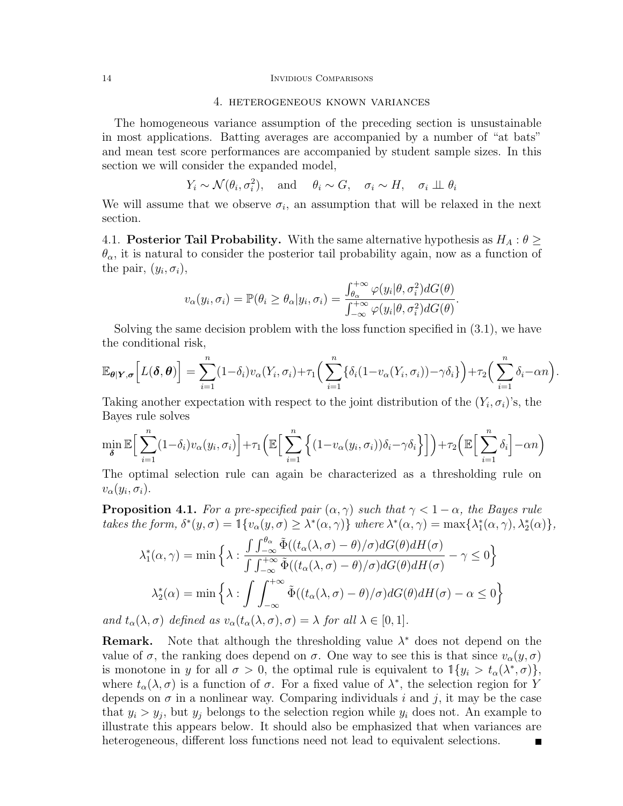## 14 INVIDIOUS COMPARISONS

## 4. heterogeneous known variances

The homogeneous variance assumption of the preceding section is unsustainable in most applications. Batting averages are accompanied by a number of "at bats" and mean test score performances are accompanied by student sample sizes. In this section we will consider the expanded model,

$$
Y_i \sim \mathcal{N}(\theta_i, \sigma_i^2)
$$
, and  $\theta_i \sim G$ ,  $\sigma_i \sim H$ ,  $\sigma_i \perp \theta_i$ 

We will assume that we observe  $\sigma_i$ , an assumption that will be relaxed in the next section.

4.1. **Posterior Tail Probability.** With the same alternative hypothesis as  $H_A: \theta \geq$  $\theta_{\alpha}$ , it is natural to consider the posterior tail probability again, now as a function of the pair,  $(y_i, \sigma_i)$ ,

$$
v_{\alpha}(y_i, \sigma_i) = \mathbb{P}(\theta_i \ge \theta_{\alpha}|y_i, \sigma_i) = \frac{\int_{\theta_{\alpha}}^{+\infty} \varphi(y_i|\theta, \sigma_i^2) dG(\theta)}{\int_{-\infty}^{+\infty} \varphi(y_i|\theta, \sigma_i^2) dG(\theta)}.
$$

Solving the same decision problem with the loss function specified in (3.1), we have the conditional risk,

$$
\mathbb{E}_{\theta|Y,\sigma}\Big[L(\boldsymbol{\delta},\boldsymbol{\theta})\Big] = \sum_{i=1}^n (1-\delta_i) v_{\alpha}(Y_i,\sigma_i) + \tau_1 \Big(\sum_{i=1}^n \{\delta_i(1-v_{\alpha}(Y_i,\sigma_i))-\gamma\delta_i\}\Big) + \tau_2 \Big(\sum_{i=1}^n \delta_i - \alpha n\Big).
$$

Taking another expectation with respect to the joint distribution of the  $(Y_i, \sigma_i)$ 's, the Bayes rule solves

$$
\min_{\delta} \mathbb{E} \Big[ \sum_{i=1}^{n} (1 - \delta_i) v_{\alpha}(y_i, \sigma_i) \Big] + \tau_1 \Big( \mathbb{E} \Big[ \sum_{i=1}^{n} \Big\{ (1 - v_{\alpha}(y_i, \sigma_i)) \delta_i - \gamma \delta_i \Big\} \Big] \Big) + \tau_2 \Big( \mathbb{E} \Big[ \sum_{i=1}^{n} \delta_i \Big] - \alpha n \Big)
$$

The optimal selection rule can again be characterized as a thresholding rule on  $v_\alpha(y_i,\sigma_i)$ .

**Proposition 4.1.** For a pre-specified pair  $(\alpha, \gamma)$  such that  $\gamma < 1 - \alpha$ , the Bayes rule takes the form,  $\delta^*(y, \sigma) = \mathbb{1}\{v_\alpha(y, \sigma) \geq \lambda^*(\alpha, \gamma)\}\$  where  $\lambda^*(\alpha, \gamma) = \max\{\lambda_1^*(\alpha, \gamma), \lambda_2^*(\alpha)\}\$ ,

$$
\lambda_1^*(\alpha, \gamma) = \min \left\{ \lambda : \frac{\int \int_{-\infty}^{\theta_{\alpha}} \tilde{\Phi}((t_{\alpha}(\lambda, \sigma) - \theta)/\sigma) dG(\theta) dH(\sigma)}{\int \int_{-\infty}^{+\infty} \tilde{\Phi}((t_{\alpha}(\lambda, \sigma) - \theta)/\sigma) dG(\theta) dH(\sigma)} - \gamma \le 0 \right\}
$$

$$
\lambda_2^*(\alpha) = \min \left\{ \lambda : \int \int_{-\infty}^{+\infty} \tilde{\Phi}((t_{\alpha}(\lambda, \sigma) - \theta)/\sigma) dG(\theta) dH(\sigma) - \alpha \le 0 \right\}
$$
(1,  $\tau$ ) defined as a (4, (1,  $\tau$ )  $\tau$ )  $\tau$ )  $\tau$ ) for all  $\lambda \in [0, 1]$ .

and  $t_{\alpha}(\lambda, \sigma)$  defined as  $v_{\alpha}(t_{\alpha}(\lambda, \sigma), \sigma) = \lambda$  for all  $\lambda \in [0, 1].$ 

**Remark.** Note that although the thresholding value  $\lambda^*$  does not depend on the value of  $\sigma$ , the ranking does depend on  $\sigma$ . One way to see this is that since  $v_{\alpha}(y, \sigma)$ is monotone in y for all  $\sigma > 0$ , the optimal rule is equivalent to  $\mathbb{1}\{y_i > t_\alpha(\lambda^*, \sigma)\},$ where  $t_{\alpha}(\lambda, \sigma)$  is a function of  $\sigma$ . For a fixed value of  $\lambda^*$ , the selection region for Y depends on  $\sigma$  in a nonlinear way. Comparing individuals i and j, it may be the case that  $y_i > y_j$ , but  $y_j$  belongs to the selection region while  $y_i$  does not. An example to illustrate this appears below. It should also be emphasized that when variances are heterogeneous, different loss functions need not lead to equivalent selections.Г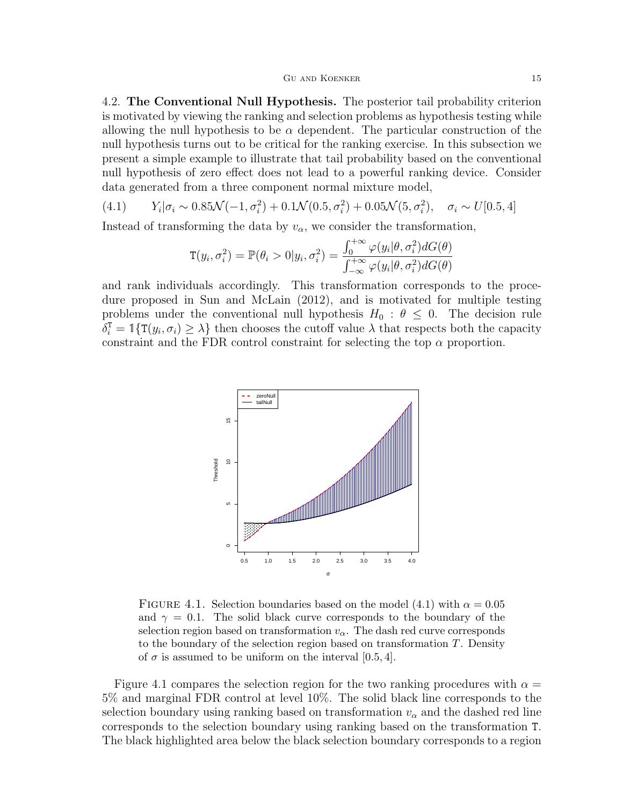4.2. The Conventional Null Hypothesis. The posterior tail probability criterion is motivated by viewing the ranking and selection problems as hypothesis testing while allowing the null hypothesis to be  $\alpha$  dependent. The particular construction of the null hypothesis turns out to be critical for the ranking exercise. In this subsection we present a simple example to illustrate that tail probability based on the conventional null hypothesis of zero effect does not lead to a powerful ranking device. Consider data generated from a three component normal mixture model,

(4.1) 
$$
Y_i|\sigma_i \sim 0.85\mathcal{N}(-1, \sigma_i^2) + 0.1\mathcal{N}(0.5, \sigma_i^2) + 0.05\mathcal{N}(5, \sigma_i^2), \quad \sigma_i \sim U[0.5, 4]
$$

Instead of transforming the data by  $v_{\alpha}$ , we consider the transformation,

$$
\mathbf{T}(y_i, \sigma_i^2) = \mathbb{P}(\theta_i > 0 | y_i, \sigma_i^2) = \frac{\int_0^{+\infty} \varphi(y_i | \theta, \sigma_i^2) dG(\theta)}{\int_{-\infty}^{+\infty} \varphi(y_i | \theta, \sigma_i^2) dG(\theta)}
$$

and rank individuals accordingly. This transformation corresponds to the procedure proposed in Sun and McLain (2012), and is motivated for multiple testing problems under the conventional null hypothesis  $H_0 : \theta \leq 0$ . The decision rule  $\delta_i^{\text{t}} = \mathbb{1}\{\text{T}(y_i, \sigma_i) \geq \lambda\}$  then chooses the cutoff value  $\lambda$  that respects both the capacity constraint and the FDR control constraint for selecting the top  $\alpha$  proportion.



FIGURE 4.1. Selection boundaries based on the model (4.1) with  $\alpha = 0.05$ and  $\gamma = 0.1$ . The solid black curve corresponds to the boundary of the selection region based on transformation  $v_{\alpha}$ . The dash red curve corresponds to the boundary of the selection region based on transformation T. Density of  $\sigma$  is assumed to be uniform on the interval [0.5, 4].

Figure 4.1 compares the selection region for the two ranking procedures with  $\alpha =$ 5% and marginal FDR control at level 10%. The solid black line corresponds to the selection boundary using ranking based on transformation  $v_{\alpha}$  and the dashed red line corresponds to the selection boundary using ranking based on the transformation T. The black highlighted area below the black selection boundary corresponds to a region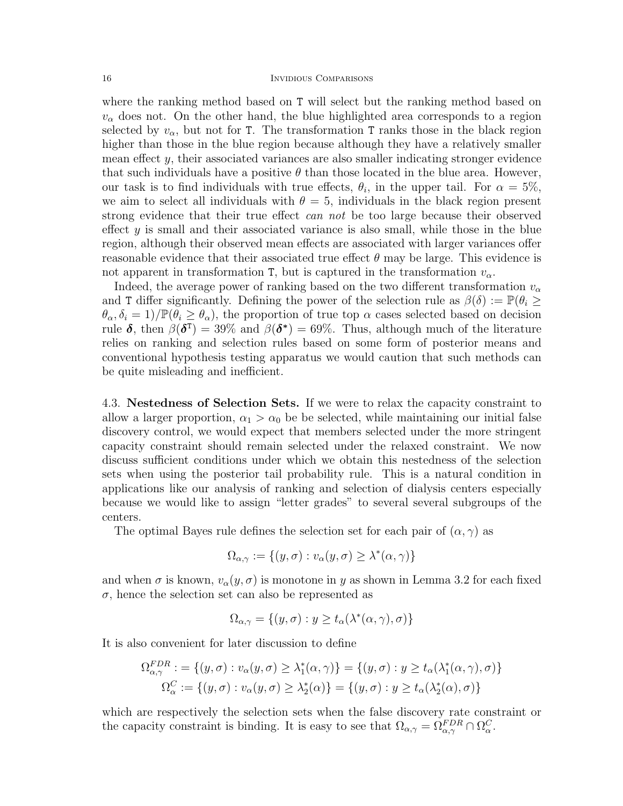where the ranking method based on T will select but the ranking method based on  $v_{\alpha}$  does not. On the other hand, the blue highlighted area corresponds to a region selected by  $v_{\alpha}$ , but not for T. The transformation T ranks those in the black region higher than those in the blue region because although they have a relatively smaller mean effect  $y$ , their associated variances are also smaller indicating stronger evidence that such individuals have a positive  $\theta$  than those located in the blue area. However, our task is to find individuals with true effects,  $\theta_i$ , in the upper tail. For  $\alpha = 5\%$ , we aim to select all individuals with  $\theta = 5$ , individuals in the black region present strong evidence that their true effect can not be too large because their observed effect  $y$  is small and their associated variance is also small, while those in the blue region, although their observed mean effects are associated with larger variances offer reasonable evidence that their associated true effect  $\theta$  may be large. This evidence is not apparent in transformation T, but is captured in the transformation  $v_{\alpha}$ .

Indeed, the average power of ranking based on the two different transformation  $v_{\alpha}$ and T differ significantly. Defining the power of the selection rule as  $\beta(\delta) := \mathbb{P}(\theta_i \geq$  $\theta_{\alpha}, \delta_i = 1$ )/ $\mathbb{P}(\theta_i \geq \theta_{\alpha})$ , the proportion of true top  $\alpha$  cases selected based on decision rule  $\delta$ , then  $\beta(\delta^{\text{t}}) = 39\%$  and  $\beta(\delta^*) = 69\%$ . Thus, although much of the literature relies on ranking and selection rules based on some form of posterior means and conventional hypothesis testing apparatus we would caution that such methods can be quite misleading and inefficient.

4.3. Nestedness of Selection Sets. If we were to relax the capacity constraint to allow a larger proportion,  $\alpha_1 > \alpha_0$  be be selected, while maintaining our initial false discovery control, we would expect that members selected under the more stringent capacity constraint should remain selected under the relaxed constraint. We now discuss sufficient conditions under which we obtain this nestedness of the selection sets when using the posterior tail probability rule. This is a natural condition in applications like our analysis of ranking and selection of dialysis centers especially because we would like to assign "letter grades" to several several subgroups of the centers.

The optimal Bayes rule defines the selection set for each pair of  $(\alpha, \gamma)$  as

$$
\Omega_{\alpha,\gamma} := \{(y,\sigma) : v_{\alpha}(y,\sigma) \ge \lambda^*(\alpha,\gamma)\}
$$

and when  $\sigma$  is known,  $v_{\alpha}(y, \sigma)$  is monotone in y as shown in Lemma 3.2 for each fixed  $\sigma$ , hence the selection set can also be represented as

$$
\Omega_{\alpha,\gamma} = \{(y,\sigma) : y \ge t_\alpha(\lambda^*(\alpha,\gamma),\sigma)\}
$$

It is also convenient for later discussion to define

$$
\Omega_{\alpha,\gamma}^{FDR} := \{ (y,\sigma) : v_{\alpha}(y,\sigma) \ge \lambda_1^*(\alpha,\gamma) \} = \{ (y,\sigma) : y \ge t_{\alpha}(\lambda_1^*(\alpha,\gamma),\sigma) \}
$$
  

$$
\Omega_{\alpha}^C := \{ (y,\sigma) : v_{\alpha}(y,\sigma) \ge \lambda_2^*(\alpha) \} = \{ (y,\sigma) : y \ge t_{\alpha}(\lambda_2^*(\alpha),\sigma) \}
$$

which are respectively the selection sets when the false discovery rate constraint or the capacity constraint is binding. It is easy to see that  $\Omega_{\alpha,\gamma} = \Omega_{\alpha,\gamma}^{FDR} \cap \Omega_{\alpha}^{C}$ .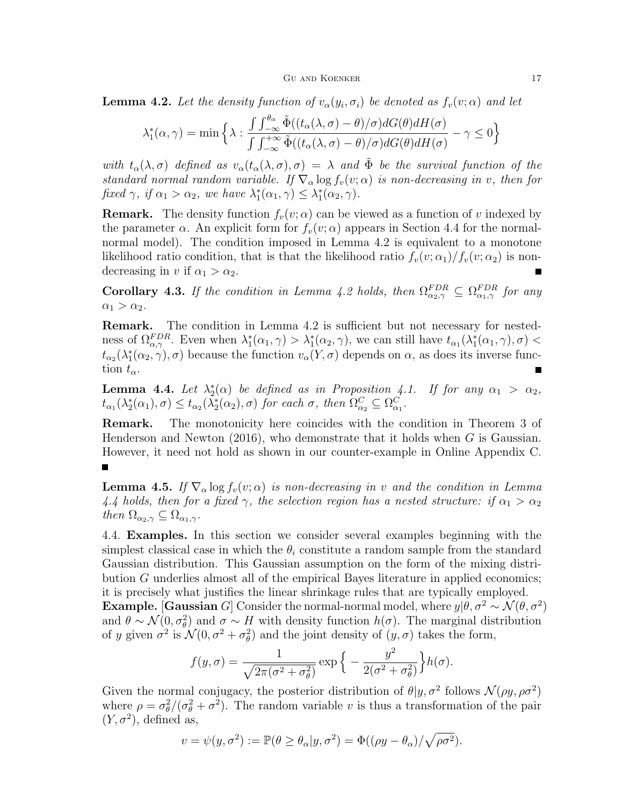**Lemma 4.2.** Let the density function of  $v_{\alpha}(y_i, \sigma_i)$  be denoted as  $f_v(v; \alpha)$  and let

$$
\lambda_1^*(\alpha, \gamma) = \min \left\{ \lambda : \frac{\int \int_{-\infty}^{\theta_{\alpha}} \tilde{\Phi}((t_{\alpha}(\lambda, \sigma) - \theta)/\sigma) dG(\theta) dH(\sigma)}{\int \int_{-\infty}^{+\infty} \tilde{\Phi}((t_{\alpha}(\lambda, \sigma) - \theta)/\sigma) dG(\theta) dH(\sigma)} - \gamma \le 0 \right\}
$$

with  $t_{\alpha}(\lambda, \sigma)$  defined as  $v_{\alpha}(t_{\alpha}(\lambda, \sigma), \sigma) = \lambda$  and  $\tilde{\Phi}$  be the survival function of the standard normal random variable. If  $\nabla_{\alpha} \log f_{v}(v;\alpha)$  is non-decreasing in v, then for fixed  $\gamma$ , if  $\alpha_1 > \alpha_2$ , we have  $\lambda_1^*(\alpha_1, \gamma) \leq \lambda_1^*(\alpha_2, \gamma)$ .

**Remark.** The density function  $f_v(v; \alpha)$  can be viewed as a function of v indexed by the parameter  $\alpha$ . An explicit form for  $f_v(v; \alpha)$  appears in Section 4.4 for the normalnormal model). The condition imposed in Lemma 4.2 is equivalent to a monotone likelihood ratio condition, that is that the likelihood ratio  $f_v(v; \alpha_1)/f_v(v; \alpha_2)$  is nondecreasing in v if  $\alpha_1 > \alpha_2$ .

**Corollary 4.3.** If the condition in Lemma 4.2 holds, then  $\Omega_{\alpha_2,\gamma}^{FDR} \subseteq \Omega_{\alpha_1,\gamma}^{FDR}$  for any  $\alpha_1 > \alpha_2$ .

Remark. The condition in Lemma 4.2 is sufficient but not necessary for nestedness of  $\Omega_{\alpha,\gamma}^{FDR}$ . Even when  $\lambda_1^*(\alpha_1,\gamma) > \lambda_1^*(\alpha_2,\gamma)$ , we can still have  $t_{\alpha_1}(\lambda_1^*(\alpha_1,\gamma),\sigma)$  $t_{\alpha_2}(\lambda_1^*(\alpha_2, \gamma), \sigma)$  because the function  $v_\alpha(Y, \sigma)$  depends on  $\alpha$ , as does its inverse function  $t_{\alpha}$ .

**Lemma 4.4.** Let  $\lambda_2^*(\alpha)$  be defined as in Proposition 4.1. If for any  $\alpha_1 > \alpha_2$ ,  $t_{\alpha_1}(\lambda_2^*(\alpha_1), \sigma) \leq t_{\alpha_2}(\lambda_2^*(\alpha_2), \sigma)$  for each  $\sigma$ , then  $\Omega_{\alpha_2}^C \subseteq \Omega_{\alpha_1}^C$ .

Remark. The monotonicity here coincides with the condition in Theorem 3 of Henderson and Newton  $(2016)$ , who demonstrate that it holds when G is Gaussian. However, it need not hold as shown in our counter-example in Online Appendix C.

**Lemma 4.5.** If  $\nabla_{\alpha} \log f_{v}(v; \alpha)$  is non-decreasing in v and the condition in Lemma 4.4 holds, then for a fixed  $\gamma$ , the selection region has a nested structure: if  $\alpha_1 > \alpha_2$ then  $\Omega_{\alpha_2,\gamma} \subseteq \Omega_{\alpha_1,\gamma}$ .

4.4. Examples. In this section we consider several examples beginning with the simplest classical case in which the  $\theta_i$  constitute a random sample from the standard Gaussian distribution. This Gaussian assumption on the form of the mixing distribution G underlies almost all of the empirical Bayes literature in applied economics; it is precisely what justifies the linear shrinkage rules that are typically employed. **Example.** [Gaussian G] Consider the normal-normal model, where  $y|\theta, \sigma^2 \sim \mathcal{N}(\theta, \sigma^2)$ and  $\theta \sim \mathcal{N}(0, \sigma_{\theta}^2)$  and  $\sigma \sim H$  with density function  $h(\sigma)$ . The marginal distribution of y given  $\sigma^2$  is  $\mathcal{N}(0, \sigma^2 + \sigma_\theta^2)$  and the joint density of  $(y, \sigma)$  takes the form,

$$
f(y,\sigma) = \frac{1}{\sqrt{2\pi(\sigma^2 + \sigma_\theta^2)}} \exp\left\{-\frac{y^2}{2(\sigma^2 + \sigma_\theta^2)}\right\} h(\sigma).
$$

Given the normal conjugacy, the posterior distribution of  $\theta | y, \sigma^2$  follows  $\mathcal{N}(\rho y, \rho \sigma^2)$ where  $\rho = \frac{\sigma_{\theta}^2}{\sigma_{\theta}^2 + \sigma^2}$ . The random variable v is thus a transformation of the pair  $(Y, \sigma^2)$ , defined as,

$$
v = \psi(y, \sigma^2) := \mathbb{P}(\theta \ge \theta_\alpha | y, \sigma^2) = \Phi((\rho y - \theta_\alpha) / \sqrt{\rho \sigma^2}).
$$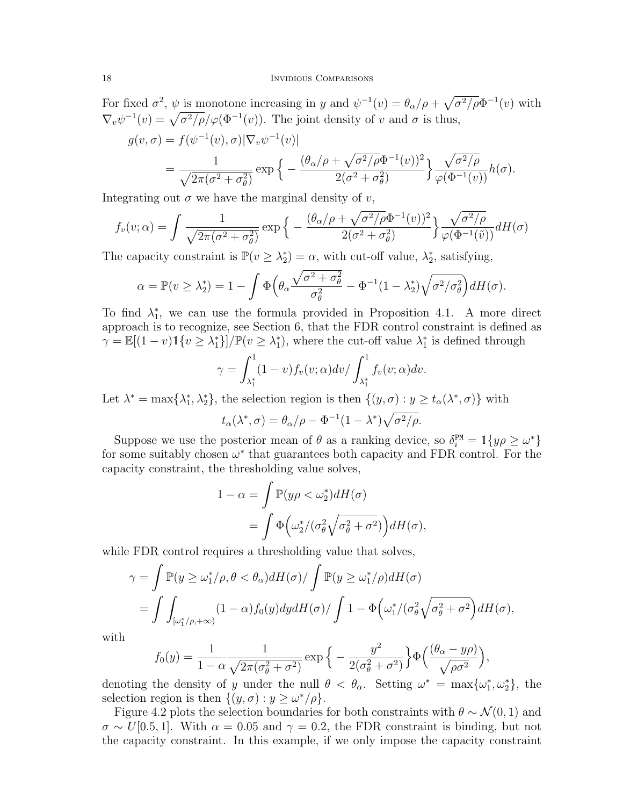### 18 INVIDIOUS COMPARISONS

For fixed  $\sigma^2$ ,  $\psi$  is monotone increasing in y and  $\psi^{-1}(v) = \theta_\alpha/\rho + \sqrt{\sigma^2/\rho} \Phi^{-1}(v)$  with  $\nabla_v \psi^{-1}(v) = \sqrt{\sigma^2/\rho}/\varphi(\Phi^{-1}(v))$ . The joint density of v and  $\sigma$  is thus,

$$
g(v,\sigma) = f(\psi^{-1}(v),\sigma)|\nabla_v \psi^{-1}(v)|
$$
  
= 
$$
\frac{1}{\sqrt{2\pi(\sigma^2 + \sigma_\theta^2)}} \exp\left\{-\frac{(\theta_\alpha/\rho + \sqrt{\sigma^2/\rho}\Phi^{-1}(v))^2}{2(\sigma^2 + \sigma_\theta^2)}\right\} \frac{\sqrt{\sigma^2/\rho}}{\varphi(\Phi^{-1}(v))} h(\sigma).
$$

Integrating out  $\sigma$  we have the marginal density of v,

$$
f_v(v;\alpha) = \int \frac{1}{\sqrt{2\pi(\sigma^2 + \sigma_\theta^2)}} \exp\left\{-\frac{(\theta_\alpha/\rho + \sqrt{\sigma^2/\rho}\Phi^{-1}(v))^2}{2(\sigma^2 + \sigma_\theta^2)}\right\} \frac{\sqrt{\sigma^2/\rho}}{\varphi(\Phi^{-1}(\tilde{v}))} dH(\sigma)
$$

The capacity constraint is  $\mathbb{P}(v \geq \lambda_2^*) = \alpha$ , with cut-off value,  $\lambda_2^*$ , satisfying,

$$
\alpha = \mathbb{P}(v \ge \lambda_2^*) = 1 - \int \Phi\Big(\theta_\alpha \frac{\sqrt{\sigma^2 + \sigma_\theta^2}}{\sigma_\theta^2} - \Phi^{-1}(1 - \lambda_2^*)\sqrt{\sigma^2/\sigma_\theta^2}\Big) dH(\sigma).
$$

To find  $\lambda_1^*$ , we can use the formula provided in Proposition 4.1. A more direct approach is to recognize, see Section 6, that the FDR control constraint is defined as  $\gamma = \mathbb{E}[(1-v)\mathbb{1}\{v \geq \lambda_1^*\}]\mathbb{P}(v \geq \lambda_1^*)$ , where the cut-off value  $\lambda_1^*$  is defined through

$$
\gamma = \int_{\lambda_1^*}^1 (1-v) f_v(v; \alpha) dv / \int_{\lambda_1^*}^1 f_v(v; \alpha) dv.
$$

Let  $\lambda^* = \max{\lambda_1^*, \lambda_2^*}$ , the selection region is then  $\{(y, \sigma) : y \ge t_\alpha(\lambda^*, \sigma)\}$  with

$$
t_{\alpha}(\lambda^*, \sigma) = \theta_{\alpha}/\rho - \Phi^{-1}(1 - \lambda^*)\sqrt{\sigma^2/\rho}.
$$

Suppose we use the posterior mean of  $\theta$  as a ranking device, so  $\delta_i^{\text{PM}} = \mathbb{1}{y\rho \geq \omega^*}$ for some suitably chosen  $\omega^*$  that guarantees both capacity and FDR control. For the capacity constraint, the thresholding value solves,

$$
1 - \alpha = \int \mathbb{P}(y\rho < \omega_2^*) dH(\sigma)
$$
  
= 
$$
\int \Phi\left(\omega_2^*/(\sigma_\theta^2\sqrt{\sigma_\theta^2 + \sigma^2})\right) dH(\sigma),
$$

while FDR control requires a thresholding value that solves,

$$
\gamma = \int \mathbb{P}(y \ge \omega_1^* / \rho, \theta < \theta_\alpha) dH(\sigma) / \int \mathbb{P}(y \ge \omega_1^* / \rho) dH(\sigma)
$$
\n
$$
= \int \int_{[\omega_1^* / \rho, +\infty)} (1 - \alpha) f_0(y) dy dH(\sigma) / \int 1 - \Phi \left( \omega_1^* / (\sigma_\theta^2 \sqrt{\sigma_\theta^2 + \sigma^2} \right) dH(\sigma),
$$

with

$$
f_0(y) = \frac{1}{1 - \alpha} \frac{1}{\sqrt{2\pi(\sigma_\theta^2 + \sigma^2)}} \exp\left\{-\frac{y^2}{2(\sigma_\theta^2 + \sigma^2)}\right\} \Phi\left(\frac{(\theta_\alpha - y\rho)}{\sqrt{\rho \sigma^2}}\right),
$$

denoting the density of y under the null  $\theta < \theta_{\alpha}$ . Setting  $\omega^* = \max{\{\omega_1^*, \omega_2^*\}}$ , the selection region is then  $\{(y,\sigma): y \geq \omega^*/\rho\}.$ 

Figure 4.2 plots the selection boundaries for both constraints with  $\theta \sim \mathcal{N}(0, 1)$  and  $\sigma \sim U[0.5, 1]$ . With  $\alpha = 0.05$  and  $\gamma = 0.2$ , the FDR constraint is binding, but not the capacity constraint. In this example, if we only impose the capacity constraint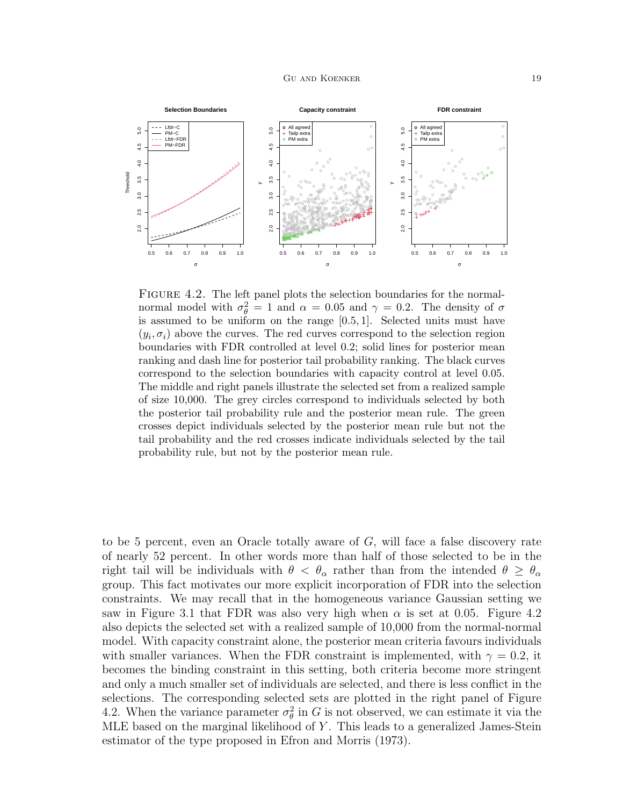

FIGURE 4.2. The left panel plots the selection boundaries for the normalnormal model with  $\sigma_{\theta}^2 = 1$  and  $\alpha = 0.05$  and  $\gamma = 0.2$ . The density of  $\sigma$ is assumed to be uniform on the range [0.5, 1]. Selected units must have  $(y_i, \sigma_i)$  above the curves. The red curves correspond to the selection region boundaries with FDR controlled at level 0.2; solid lines for posterior mean ranking and dash line for posterior tail probability ranking. The black curves correspond to the selection boundaries with capacity control at level 0.05. The middle and right panels illustrate the selected set from a realized sample of size 10,000. The grey circles correspond to individuals selected by both the posterior tail probability rule and the posterior mean rule. The green crosses depict individuals selected by the posterior mean rule but not the tail probability and the red crosses indicate individuals selected by the tail probability rule, but not by the posterior mean rule.

to be 5 percent, even an Oracle totally aware of G, will face a false discovery rate of nearly 52 percent. In other words more than half of those selected to be in the right tail will be individuals with  $\theta < \theta_\alpha$  rather than from the intended  $\theta \ge \theta_\alpha$ group. This fact motivates our more explicit incorporation of FDR into the selection constraints. We may recall that in the homogeneous variance Gaussian setting we saw in Figure 3.1 that FDR was also very high when  $\alpha$  is set at 0.05. Figure 4.2 also depicts the selected set with a realized sample of 10,000 from the normal-normal model. With capacity constraint alone, the posterior mean criteria favours individuals with smaller variances. When the FDR constraint is implemented, with  $\gamma = 0.2$ , it becomes the binding constraint in this setting, both criteria become more stringent and only a much smaller set of individuals are selected, and there is less conflict in the selections. The corresponding selected sets are plotted in the right panel of Figure 4.2. When the variance parameter  $\sigma_{\theta}^2$  in G is not observed, we can estimate it via the MLE based on the marginal likelihood of  $Y$ . This leads to a generalized James-Stein estimator of the type proposed in Efron and Morris (1973).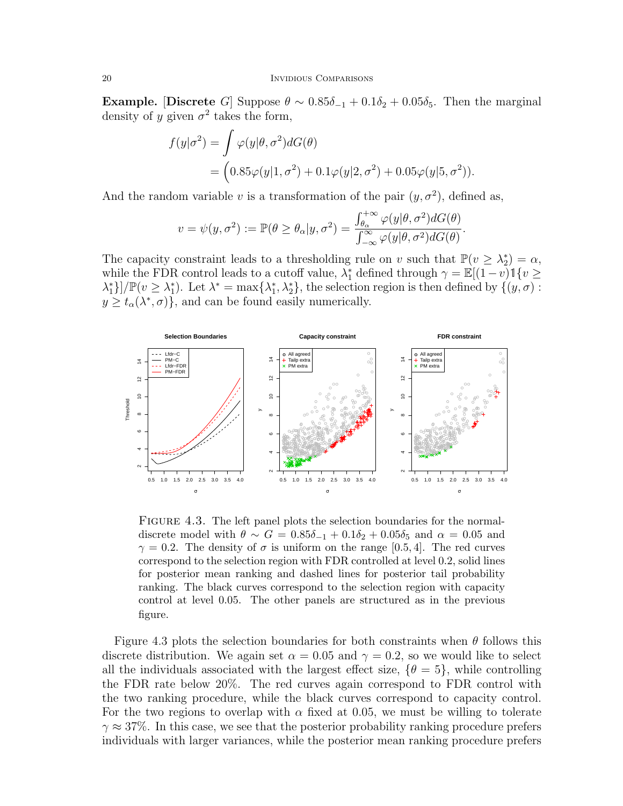Example. [Discrete G] Suppose  $\theta \sim 0.85\delta_{-1} + 0.1\delta_2 + 0.05\delta_5$ . Then the marginal density of y given  $\sigma^2$  takes the form,

$$
f(y|\sigma^2) = \int \varphi(y|\theta, \sigma^2) dG(\theta)
$$
  
= 
$$
(0.85\varphi(y|1, \sigma^2) + 0.1\varphi(y|2, \sigma^2) + 0.05\varphi(y|5, \sigma^2)).
$$

And the random variable v is a transformation of the pair  $(y, \sigma^2)$ , defined as,

$$
v = \psi(y, \sigma^2) := \mathbb{P}(\theta \ge \theta_\alpha | y, \sigma^2) = \frac{\int_{\theta_\alpha}^{+\infty} \varphi(y | \theta, \sigma^2) dG(\theta)}{\int_{-\infty}^{\infty} \varphi(y | \theta, \sigma^2) dG(\theta)}.
$$

The capacity constraint leads to a thresholding rule on v such that  $\mathbb{P}(v \geq \lambda_2^*) = \alpha$ , while the FDR control leads to a cutoff value,  $\lambda_1^*$  defined through  $\gamma = \mathbb{E}[(1-v)1\{v\geq$  $\lambda_1^*$ ]/ $\mathbb{P}(v \geq \lambda_1^*)$ . Let  $\lambda^* = \max{\lambda_1^*, \lambda_2^*}$ , the selection region is then defined by  $\{(y, \sigma):$  $y \geq t_{\alpha}(\lambda^*, \sigma)$ , and can be found easily numerically.



FIGURE 4.3. The left panel plots the selection boundaries for the normaldiscrete model with  $\theta \sim G = 0.85\delta_{-1} + 0.1\delta_2 + 0.05\delta_5$  and  $\alpha = 0.05$  and  $\gamma = 0.2$ . The density of  $\sigma$  is uniform on the range [0.5, 4]. The red curves correspond to the selection region with FDR controlled at level 0.2, solid lines for posterior mean ranking and dashed lines for posterior tail probability ranking. The black curves correspond to the selection region with capacity control at level 0.05. The other panels are structured as in the previous figure.

Figure 4.3 plots the selection boundaries for both constraints when  $\theta$  follows this discrete distribution. We again set  $\alpha = 0.05$  and  $\gamma = 0.2$ , so we would like to select all the individuals associated with the largest effect size,  $\{\theta = 5\}$ , while controlling the FDR rate below 20%. The red curves again correspond to FDR control with the two ranking procedure, while the black curves correspond to capacity control. For the two regions to overlap with  $\alpha$  fixed at 0.05, we must be willing to tolerate  $\gamma \approx 37\%$ . In this case, we see that the posterior probability ranking procedure prefers individuals with larger variances, while the posterior mean ranking procedure prefers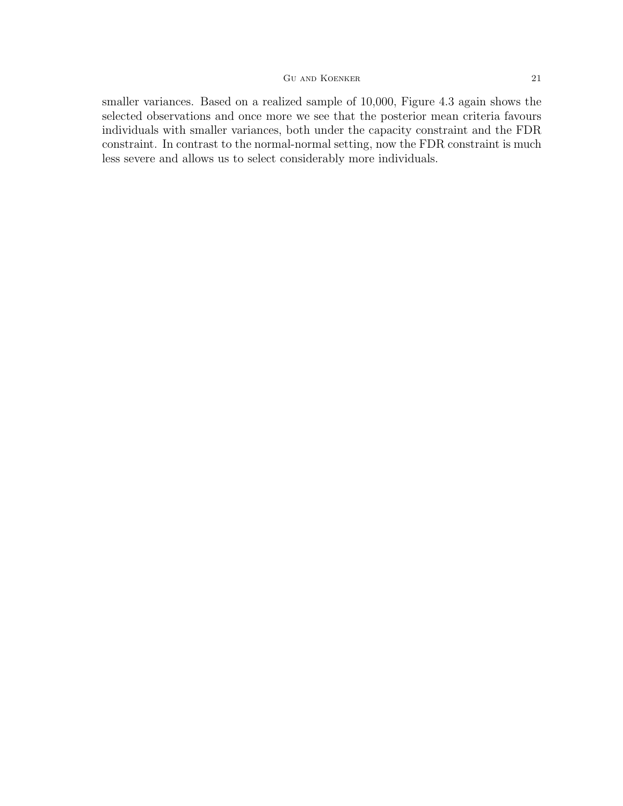smaller variances. Based on a realized sample of 10,000, Figure 4.3 again shows the selected observations and once more we see that the posterior mean criteria favours individuals with smaller variances, both under the capacity constraint and the FDR constraint. In contrast to the normal-normal setting, now the FDR constraint is much less severe and allows us to select considerably more individuals.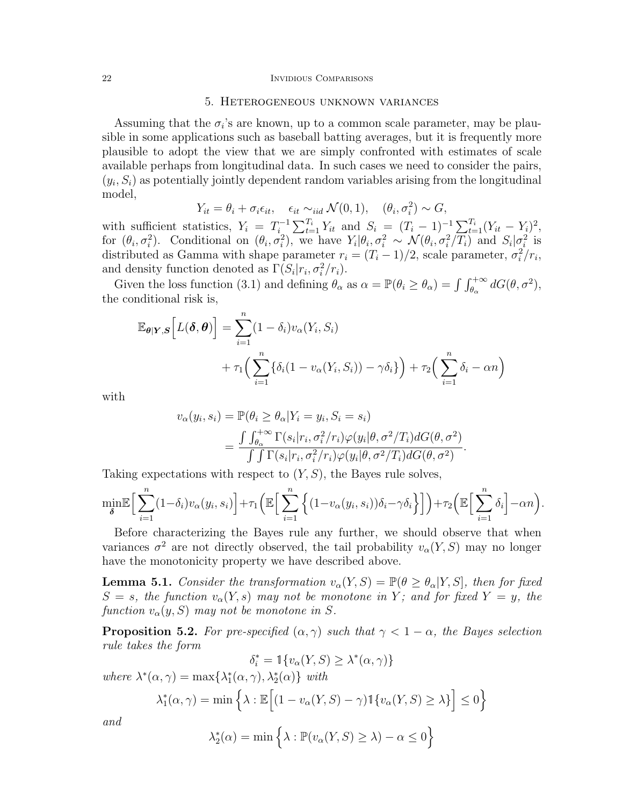#### 22 INVIDIOUS COMPARISONS

# 5. Heterogeneous unknown variances

Assuming that the  $\sigma_i$ 's are known, up to a common scale parameter, may be plausible in some applications such as baseball batting averages, but it is frequently more plausible to adopt the view that we are simply confronted with estimates of scale available perhaps from longitudinal data. In such cases we need to consider the pairs,  $(y_i, S_i)$  as potentially jointly dependent random variables arising from the longitudinal model,

$$
Y_{it} = \theta_i + \sigma_i \epsilon_{it}, \quad \epsilon_{it} \sim_{iid} \mathcal{N}(0, 1), \quad (\theta_i, \sigma_i^2) \sim G,
$$

with sufficient statistics,  $Y_i = T_i^{-1}$  $\sum_{i=1}^{n-1} \sum_{t=1}^{T_i} Y_{it}$  and  $S_i = (T_i - 1)^{-1} \sum_{t=1}^{T_i} (Y_{it} - Y_i)^2$ , for  $(\theta_i, \sigma_i^2)$ . Conditional on  $(\theta_i, \sigma_i^2)$ , we have  $Y_i | \theta_i, \sigma_i^2 \sim \mathcal{N}(\theta_i, \sigma_i^2/T_i)$  and  $S_i | \sigma_i^2$  is distributed as Gamma with shape parameter  $r_i = (T_i - 1)/2$ , scale parameter,  $\sigma_i^2/r_i$ , and density function denoted as  $\Gamma(S_i|r_i, \sigma_i^2/r_i)$ .

Given the loss function (3.1) and defining  $\theta_{\alpha}$  as  $\alpha = \mathbb{P}(\theta_i \ge \theta_{\alpha}) = \int \int_{\theta_{\alpha}}^{+\infty} dG(\theta, \sigma^2)$ , the conditional risk is,

$$
\mathbb{E}_{\theta|Y,S}\Big[L(\boldsymbol{\delta},\boldsymbol{\theta})\Big] = \sum_{i=1}^{n} (1-\delta_i) v_{\alpha}(Y_i, S_i) + \tau_1 \Big(\sum_{i=1}^{n} \{\delta_i(1 - v_{\alpha}(Y_i, S_i)) - \gamma \delta_i\}\Big) + \tau_2 \Big(\sum_{i=1}^{n} \delta_i - \alpha n\Big)
$$

with

$$
v_{\alpha}(y_i, s_i) = \mathbb{P}(\theta_i \ge \theta_{\alpha} | Y_i = y_i, S_i = s_i)
$$
  
= 
$$
\frac{\int \int_{\theta_{\alpha}}^{+\infty} \Gamma(s_i | r_i, \sigma_i^2 / r_i) \varphi(y_i | \theta, \sigma^2 / T_i) dG(\theta, \sigma^2)}{\int \int \Gamma(s_i | r_i, \sigma_i^2 / r_i) \varphi(y_i | \theta, \sigma^2 / T_i) dG(\theta, \sigma^2)}.
$$

Taking expectations with respect to  $(Y, S)$ , the Bayes rule solves,

$$
\min_{\delta} \mathbb{E} \Big[ \sum_{i=1}^{n} (1 - \delta_i) v_{\alpha}(y_i, s_i) \Big] + \tau_1 \Big( \mathbb{E} \Big[ \sum_{i=1}^{n} \Big\{ (1 - v_{\alpha}(y_i, s_i)) \delta_i - \gamma \delta_i \Big\} \Big] \Big) + \tau_2 \Big( \mathbb{E} \Big[ \sum_{i=1}^{n} \delta_i \Big] - \alpha n \Big).
$$

Before characterizing the Bayes rule any further, we should observe that when variances  $\sigma^2$  are not directly observed, the tail probability  $v_{\alpha}(Y, S)$  may no longer have the monotonicity property we have described above.

**Lemma 5.1.** Consider the transformation  $v_{\alpha}(Y, S) = \mathbb{P}(\theta \ge \theta_{\alpha}|Y, S]$ , then for fixed  $S = s$ , the function  $v_{\alpha}(Y, s)$  may not be monotone in Y; and for fixed  $Y = y$ , the function  $v_{\alpha}(y, S)$  may not be monotone in S.

**Proposition 5.2.** For pre-specified  $(\alpha, \gamma)$  such that  $\gamma < 1 - \alpha$ , the Bayes selection rule takes the form

$$
\delta_i^* = \mathbb{1}\{v_\alpha(Y, S) \ge \lambda^*(\alpha, \gamma)\}
$$

where  $\lambda^*(\alpha, \gamma) = \max\{\lambda_1^*(\alpha, \gamma), \lambda_2^*(\alpha)\}\$  with

$$
\lambda_1^*(\alpha, \gamma) = \min \left\{ \lambda : \mathbb{E} \Big[ (1 - v_\alpha(Y, S) - \gamma) \mathbb{1} \{ v_\alpha(Y, S) \ge \lambda \} \Big] \le 0 \right\}
$$

and

$$
\lambda_2^*(\alpha) = \min \left\{ \lambda : \mathbb{P}(v_\alpha(Y, S) \ge \lambda) - \alpha \le 0 \right\}
$$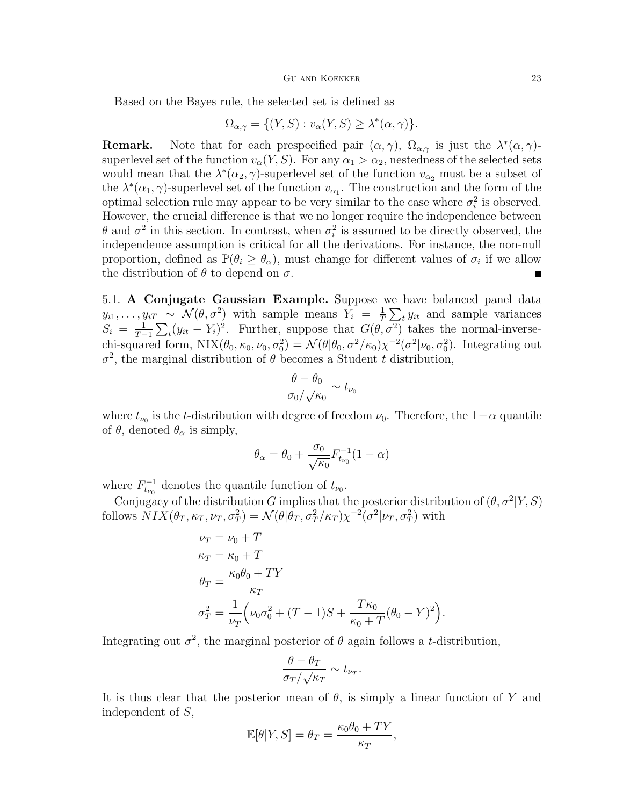Based on the Bayes rule, the selected set is defined as

$$
\Omega_{\alpha,\gamma} = \{ (Y, S) : v_{\alpha}(Y, S) \ge \lambda^*(\alpha, \gamma) \}.
$$

**Remark.** Note that for each prespecified pair  $(\alpha, \gamma)$ ,  $\Omega_{\alpha, \gamma}$  is just the  $\lambda^*(\alpha, \gamma)$ superlevel set of the function  $v_{\alpha}(Y, S)$ . For any  $\alpha_1 > \alpha_2$ , nestedness of the selected sets would mean that the  $\lambda^*(\alpha_2, \gamma)$ -superlevel set of the function  $v_{\alpha_2}$  must be a subset of the  $\lambda^*(\alpha_1, \gamma)$ -superlevel set of the function  $v_{\alpha_1}$ . The construction and the form of the optimal selection rule may appear to be very similar to the case where  $\sigma_i^2$  is observed. However, the crucial difference is that we no longer require the independence between  $\theta$  and  $\sigma^2$  in this section. In contrast, when  $\sigma_i^2$  is assumed to be directly observed, the independence assumption is critical for all the derivations. For instance, the non-null proportion, defined as  $\mathbb{P}(\theta_i \geq \theta_\alpha)$ , must change for different values of  $\sigma_i$  if we allow the distribution of  $\theta$  to depend on  $\sigma$ .

5.1. A Conjugate Gaussian Example. Suppose we have balanced panel data  $y_{i1}, \ldots, y_{iT} \sim \mathcal{N}(\theta, \sigma^2)$  with sample means  $Y_i = \frac{1}{T}$  $\frac{1}{T} \sum_t y_{it}$  and sample variances  $S_i = \frac{1}{T-1}$  $\frac{1}{T-1}\sum_{t}(y_{it}-Y_i)^2$ . Further, suppose that  $G(\theta, \sigma^2)$  takes the normal-inversechi-squared form,  $NIX(\theta_0, \kappa_0, \nu_0, \sigma_0^2) = \mathcal{N}(\theta | \theta_0, \sigma^2 / \kappa_0) \chi^{-2}(\sigma^2 | \nu_0, \sigma_0^2)$ . Integrating out  $\sigma^2$ , the marginal distribution of  $\theta$  becomes a Student t distribution,

$$
\frac{\theta - \theta_0}{\sigma_0 / \sqrt{\kappa_0}} \sim t_{\nu_0}
$$

where  $t_{\nu_0}$  is the t-distribution with degree of freedom  $\nu_0$ . Therefore, the 1– $\alpha$  quantile of  $\theta$ , denoted  $\theta_{\alpha}$  is simply,

$$
\theta_{\alpha} = \theta_0 + \frac{\sigma_0}{\sqrt{\kappa_0}} F_{t_{\nu_0}}^{-1} (1 - \alpha)
$$

where  $F_{t_{\nu_0}}^{-1}$  denotes the quantile function of  $t_{\nu_0}$ .

Conjugacy of the distribution G implies that the posterior distribution of  $(\theta, \sigma^2 | Y, S)$ follows  $NIX(\theta_T, \kappa_T, \nu_T, \sigma_T^2) = \mathcal{N}(\theta | \theta_T, \sigma_T^2 / \kappa_T) \chi^{-2}(\sigma^2 | \nu_T, \sigma_T^2)$  with

$$
\nu_T = \nu_0 + T
$$
  
\n
$$
\kappa_T = \kappa_0 + T
$$
  
\n
$$
\theta_T = \frac{\kappa_0 \theta_0 + TY}{\kappa_T}
$$
  
\n
$$
\sigma_T^2 = \frac{1}{\nu_T} \left( \nu_0 \sigma_0^2 + (T - 1)S + \frac{T \kappa_0}{\kappa_0 + T} (\theta_0 - Y)^2 \right).
$$

Integrating out  $\sigma^2$ , the marginal posterior of  $\theta$  again follows a *t*-distribution,

$$
\frac{\theta - \theta_T}{\sigma_T / \sqrt{\kappa_T}} \sim t_{\nu_T}.
$$

It is thus clear that the posterior mean of  $\theta$ , is simply a linear function of Y and independent of S,

$$
\mathbb{E}[\theta|Y, S] = \theta_T = \frac{\kappa_0 \theta_0 + TY}{\kappa_T},
$$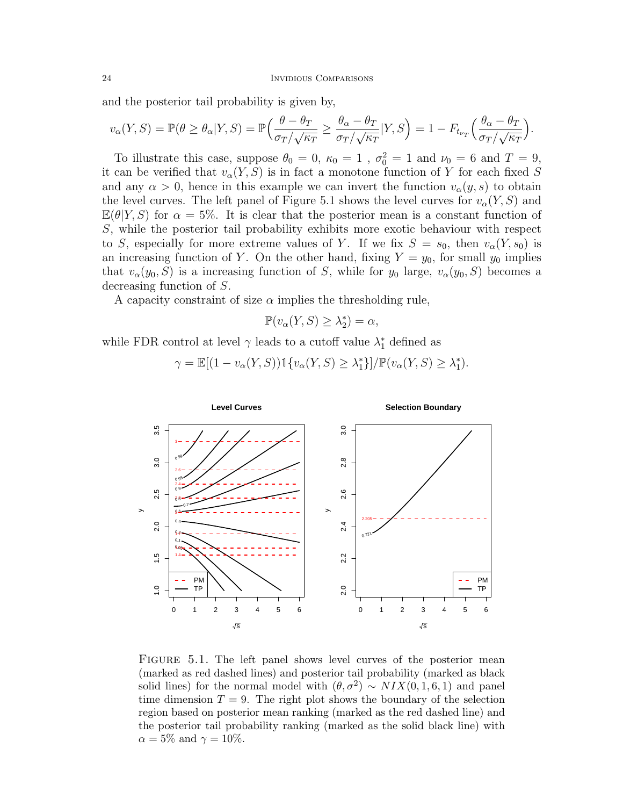and the posterior tail probability is given by,

$$
v_{\alpha}(Y,S) = \mathbb{P}(\theta \ge \theta_{\alpha}|Y,S) = \mathbb{P}\Big(\frac{\theta - \theta_T}{\sigma_T/\sqrt{\kappa_T}} \ge \frac{\theta_{\alpha} - \theta_T}{\sigma_T/\sqrt{\kappa_T}}|Y,S\Big) = 1 - F_{t_{\nu_T}}\Big(\frac{\theta_{\alpha} - \theta_T}{\sigma_T/\sqrt{\kappa_T}}\Big).
$$

To illustrate this case, suppose  $\theta_0 = 0$ ,  $\kappa_0 = 1$ ,  $\sigma_0^2 = 1$  and  $\nu_0 = 6$  and  $T = 9$ , it can be verified that  $v_{\alpha}(Y, S)$  is in fact a monotone function of Y for each fixed S and any  $\alpha > 0$ , hence in this example we can invert the function  $v_{\alpha}(y, s)$  to obtain the level curves. The left panel of Figure 5.1 shows the level curves for  $v_{\alpha}(Y, S)$  and  $\mathbb{E}(\theta|Y, S)$  for  $\alpha = 5\%$ . It is clear that the posterior mean is a constant function of S, while the posterior tail probability exhibits more exotic behaviour with respect to S, especially for more extreme values of Y. If we fix  $S = s_0$ , then  $v_{\alpha}(Y, s_0)$  is an increasing function of Y. On the other hand, fixing  $Y = y_0$ , for small  $y_0$  implies that  $v_{\alpha}(y_0, S)$  is a increasing function of S, while for  $y_0$  large,  $v_{\alpha}(y_0, S)$  becomes a decreasing function of S.

A capacity constraint of size  $\alpha$  implies the thresholding rule,

$$
\mathbb{P}(v_{\alpha}(Y, S) \geq \lambda_2^*) = \alpha,
$$

while FDR control at level  $\gamma$  leads to a cutoff value  $\lambda_1^*$  defined as

$$
\gamma = \mathbb{E}[(1 - v_{\alpha}(Y, S)) \mathbb{1}\{v_{\alpha}(Y, S) \ge \lambda_1^*\}]/\mathbb{P}(v_{\alpha}(Y, S) \ge \lambda_1^*).
$$



FIGURE 5.1. The left panel shows level curves of the posterior mean (marked as red dashed lines) and posterior tail probability (marked as black solid lines) for the normal model with  $(\theta, \sigma^2) \sim NIX(0, 1, 6, 1)$  and panel time dimension  $T = 9$ . The right plot shows the boundary of the selection region based on posterior mean ranking (marked as the red dashed line) and the posterior tail probability ranking (marked as the solid black line) with  $\alpha = 5\%$  and  $\gamma = 10\%.$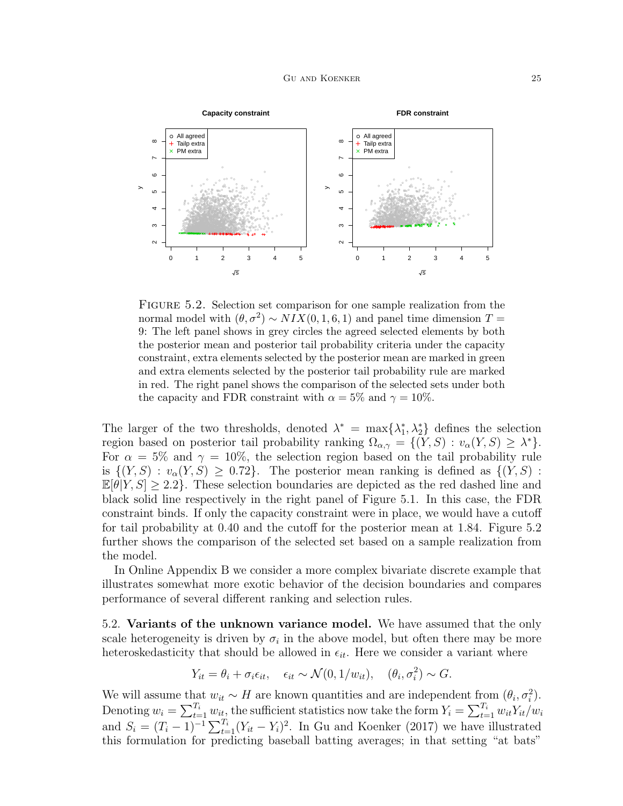

FIGURE 5.2. Selection set comparison for one sample realization from the normal model with  $(\theta, \sigma^2) \sim NIX(0, 1, 6, 1)$  and panel time dimension  $T =$ 9: The left panel shows in grey circles the agreed selected elements by both the posterior mean and posterior tail probability criteria under the capacity constraint, extra elements selected by the posterior mean are marked in green and extra elements selected by the posterior tail probability rule are marked in red. The right panel shows the comparison of the selected sets under both the capacity and FDR constraint with  $\alpha = 5\%$  and  $\gamma = 10\%$ .

The larger of the two thresholds, denoted  $\lambda^* = \max{\lambda_1^*, \lambda_2^*}$  defines the selection region based on posterior tail probability ranking  $\Omega_{\alpha,\gamma} = \{ (Y, S) : v_{\alpha}(Y, S) \geq \lambda^* \}.$ For  $\alpha = 5\%$  and  $\gamma = 10\%$ , the selection region based on the tail probability rule is  $\{(Y, S) : v_\alpha(Y, S) \geq 0.72\}$ . The posterior mean ranking is defined as  $\{(Y, S) : v_\alpha(Y, S) \geq 0.72\}$ .  $\mathbb{E}[\theta|Y, S] \geq 2.2$ . These selection boundaries are depicted as the red dashed line and black solid line respectively in the right panel of Figure 5.1. In this case, the FDR constraint binds. If only the capacity constraint were in place, we would have a cutoff for tail probability at 0.40 and the cutoff for the posterior mean at 1.84. Figure 5.2 further shows the comparison of the selected set based on a sample realization from the model.

In Online Appendix B we consider a more complex bivariate discrete example that illustrates somewhat more exotic behavior of the decision boundaries and compares performance of several different ranking and selection rules.

5.2. Variants of the unknown variance model. We have assumed that the only scale heterogeneity is driven by  $\sigma_i$  in the above model, but often there may be more heteroskedasticity that should be allowed in  $\epsilon_{it}$ . Here we consider a variant where

$$
Y_{it} = \theta_i + \sigma_i \epsilon_{it}, \quad \epsilon_{it} \sim \mathcal{N}(0, 1/w_{it}), \quad (\theta_i, \sigma_i^2) \sim G.
$$

We will assume that  $w_{it} \sim H$  are known quantities and are independent from  $(\theta_i, \sigma_i^2)$ . Denoting  $w_i = \sum_{t=1}^{T_i} w_{it}$ , the sufficient statistics now take the form  $Y_i = \sum_{t=1}^{T_i} w_{it} Y_{it}/w_i$ and  $S_i = (T_i - 1)^{-1} \sum_{t=1}^{T_i} (Y_{it} - Y_i)^2$ . In Gu and Koenker (2017) we have illustrated this formulation for predicting baseball batting averages; in that setting "at bats"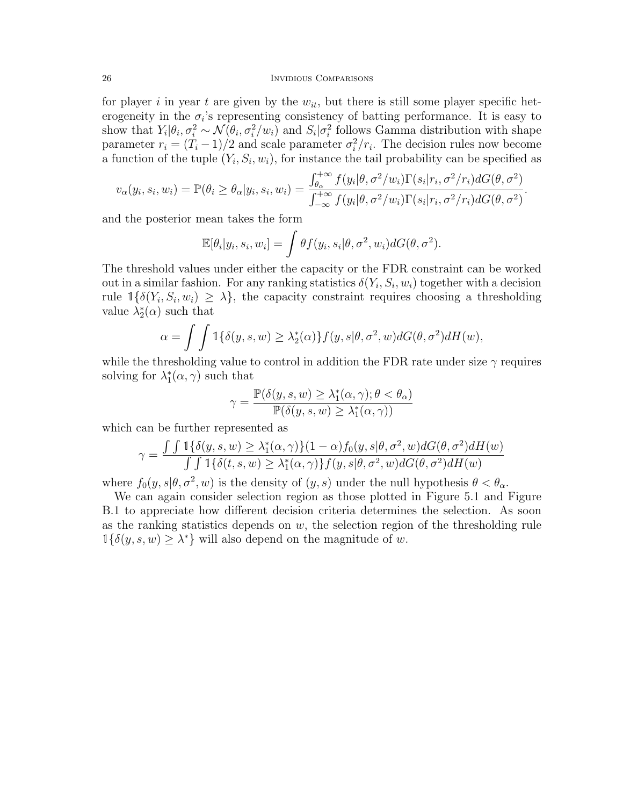## 26 INVIDIOUS COMPARISONS

for player i in year t are given by the  $w_{it}$ , but there is still some player specific heterogeneity in the  $\sigma_i$ 's representing consistency of batting performance. It is easy to show that  $Y_i|\theta_i, \sigma_i^2 \sim \mathcal{N}(\theta_i, \sigma_i^2/w_i)$  and  $S_i|\sigma_i^2$  follows Gamma distribution with shape parameter  $r_i = (T_i - 1)/2$  and scale parameter  $\sigma_i^2/r_i$ . The decision rules now become a function of the tuple  $(Y_i, S_i, w_i)$ , for instance the tail probability can be specified as

$$
v_{\alpha}(y_i, s_i, w_i) = \mathbb{P}(\theta_i \ge \theta_{\alpha}|y_i, s_i, w_i) = \frac{\int_{\theta_{\alpha}}^{+\infty} f(y_i|\theta, \sigma^2/w_i) \Gamma(s_i|r_i, \sigma^2/r_i) dG(\theta, \sigma^2)}{\int_{-\infty}^{+\infty} f(y_i|\theta, \sigma^2/w_i) \Gamma(s_i|r_i, \sigma^2/r_i) dG(\theta, \sigma^2)}.
$$

and the posterior mean takes the form

$$
\mathbb{E}[\theta_i|y_i, s_i, w_i] = \int \theta f(y_i, s_i | \theta, \sigma^2, w_i) dG(\theta, \sigma^2).
$$

The threshold values under either the capacity or the FDR constraint can be worked out in a similar fashion. For any ranking statistics  $\delta(Y_i, S_i, w_i)$  together with a decision rule  $\mathbb{1}\{\delta(Y_i, S_i, w_i) \geq \lambda\}$ , the capacity constraint requires choosing a thresholding value  $\lambda_2^*(\alpha)$  such that

$$
\alpha = \int \int \mathbb{1}\{\delta(y, s, w) \ge \lambda_2^*(\alpha)\} f(y, s | \theta, \sigma^2, w) dG(\theta, \sigma^2) dH(w),
$$

while the thresholding value to control in addition the FDR rate under size  $\gamma$  requires solving for  $\lambda_1^*(\alpha, \gamma)$  such that

$$
\gamma = \frac{\mathbb{P}(\delta(y, s, w) \ge \lambda_1^*(\alpha, \gamma); \theta < \theta_\alpha)}{\mathbb{P}(\delta(y, s, w) \ge \lambda_1^*(\alpha, \gamma))}
$$

which can be further represented as

$$
\gamma = \frac{\int \int \mathbb{1}\{\delta(y, s, w) \ge \lambda_1^*(\alpha, \gamma)\}(1-\alpha) f_0(y, s | \theta, \sigma^2, w) dG(\theta, \sigma^2) dH(w)}{\int \int \mathbb{1}\{\delta(t, s, w) \ge \lambda_1^*(\alpha, \gamma)\} f(y, s | \theta, \sigma^2, w) dG(\theta, \sigma^2) dH(w)}
$$

where  $f_0(y, s | \theta, \sigma^2, w)$  is the density of  $(y, s)$  under the null hypothesis  $\theta < \theta_\alpha$ .

We can again consider selection region as those plotted in Figure 5.1 and Figure B.1 to appreciate how different decision criteria determines the selection. As soon as the ranking statistics depends on  $w$ , the selection region of the thresholding rule  $\mathbb{1}{\lbrace \delta(y, s, w) \geq \lambda^* \rbrace}$  will also depend on the magnitude of w.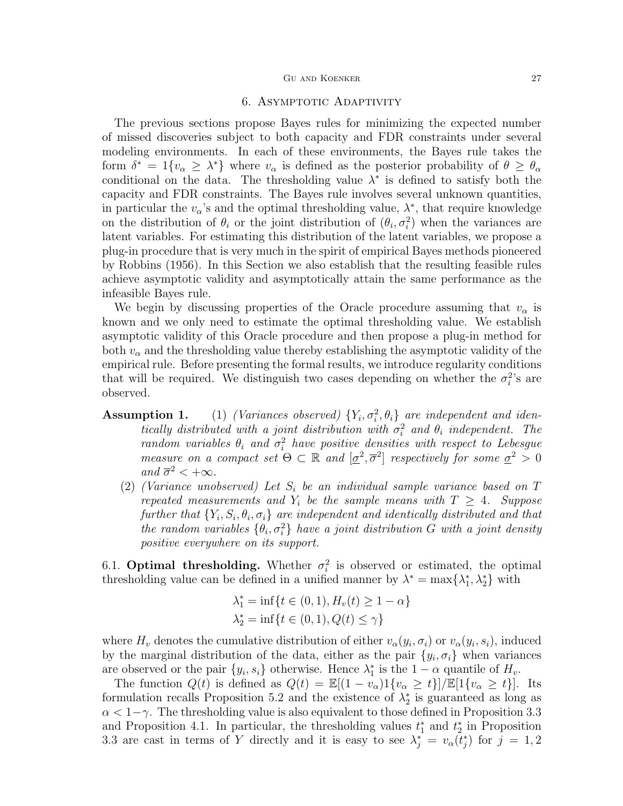# 6. ASYMPTOTIC ADAPTIVITY

The previous sections propose Bayes rules for minimizing the expected number of missed discoveries subject to both capacity and FDR constraints under several modeling environments. In each of these environments, the Bayes rule takes the form  $\delta^* = 1\{v_\alpha \geq \lambda^*\}\$  where  $v_\alpha$  is defined as the posterior probability of  $\theta \geq \theta_\alpha$ conditional on the data. The thresholding value  $\lambda^*$  is defined to satisfy both the capacity and FDR constraints. The Bayes rule involves several unknown quantities, in particular the  $v_{\alpha}$ 's and the optimal thresholding value,  $\lambda^*$ , that require knowledge on the distribution of  $\theta_i$  or the joint distribution of  $(\theta_i, \sigma_i^2)$  when the variances are latent variables. For estimating this distribution of the latent variables, we propose a plug-in procedure that is very much in the spirit of empirical Bayes methods pioneered by Robbins (1956). In this Section we also establish that the resulting feasible rules achieve asymptotic validity and asymptotically attain the same performance as the infeasible Bayes rule.

We begin by discussing properties of the Oracle procedure assuming that  $v_{\alpha}$  is known and we only need to estimate the optimal thresholding value. We establish asymptotic validity of this Oracle procedure and then propose a plug-in method for both  $v_{\alpha}$  and the thresholding value thereby establishing the asymptotic validity of the empirical rule. Before presenting the formal results, we introduce regularity conditions that will be required. We distinguish two cases depending on whether the  $\sigma_i^2$ 's are observed.

- **Assumption 1.** (1) (Variances observed)  $\{Y_i, \sigma_i^2, \theta_i\}$  are independent and identically distributed with a joint distribution with  $\sigma_i^2$  and  $\theta_i$  independent. The random variables  $\theta_i$  and  $\sigma_i^2$  have positive densities with respect to Lebesgue measure on a compact set  $\Theta \subset \mathbb{R}$  and  $[\underline{\sigma}^2, \overline{\sigma}^2]$  respectively for some  $\underline{\sigma}^2 > 0$ and  $\overline{\sigma}^2 < +\infty$ .
	- (2) (Variance unobserved) Let  $S_i$  be an individual sample variance based on  $T$ repeated measurements and  $Y_i$  be the sample means with  $T \geq 4$ . Suppose further that  $\{Y_i, S_i, \theta_i, \sigma_i\}$  are independent and identically distributed and that the random variables  $\{\theta_i, \sigma_i^2\}$  have a joint distribution G with a joint density positive everywhere on its support.

6.1. **Optimal thresholding.** Whether  $\sigma_i^2$  is observed or estimated, the optimal thresholding value can be defined in a unified manner by  $\lambda^* = \max\{\lambda_1^*, \lambda_2^*\}$  with

$$
\lambda_1^* = \inf\{t \in (0, 1), H_v(t) \ge 1 - \alpha\}
$$
  

$$
\lambda_2^* = \inf\{t \in (0, 1), Q(t) \le \gamma\}
$$

where  $H_v$  denotes the cumulative distribution of either  $v_\alpha(y_i, \sigma_i)$  or  $v_\alpha(y_i, s_i)$ , induced by the marginal distribution of the data, either as the pair  $\{y_i, \sigma_i\}$  when variances are observed or the pair  $\{y_i, s_i\}$  otherwise. Hence  $\lambda_1^*$  is the  $1 - \alpha$  quantile of  $H_v$ .

The function  $Q(t)$  is defined as  $Q(t) = \mathbb{E}[(1 - v_{\alpha})1\{v_{\alpha} \geq t\}]/\mathbb{E}[1\{v_{\alpha} \geq t\}].$  Its formulation recalls Proposition 5.2 and the existence of  $\lambda_2^*$  is guaranteed as long as  $\alpha < 1-\gamma$ . The thresholding value is also equivalent to those defined in Proposition 3.3 and Proposition 4.1. In particular, the thresholding values  $t_1^*$  and  $t_2^*$  in Proposition 3.3 are cast in terms of Y directly and it is easy to see  $\lambda_j^* = v_\alpha(t_j^*)$  for  $j = 1, 2$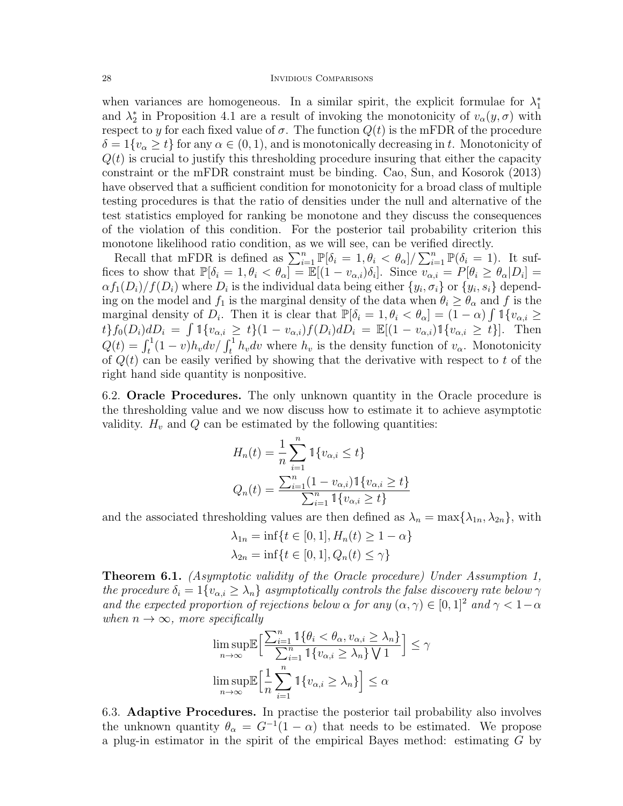when variances are homogeneous. In a similar spirit, the explicit formulae for  $\lambda_1^*$ and  $\lambda_2^*$  in Proposition 4.1 are a result of invoking the monotonicity of  $v_\alpha(y, \sigma)$  with respect to y for each fixed value of  $\sigma$ . The function  $Q(t)$  is the mFDR of the procedure  $\delta = 1\{v_\alpha \geq t\}$  for any  $\alpha \in (0, 1)$ , and is monotonically decreasing in t. Monotonicity of  $Q(t)$  is crucial to justify this thresholding procedure insuring that either the capacity constraint or the mFDR constraint must be binding. Cao, Sun, and Kosorok (2013) have observed that a sufficient condition for monotonicity for a broad class of multiple testing procedures is that the ratio of densities under the null and alternative of the test statistics employed for ranking be monotone and they discuss the consequences of the violation of this condition. For the posterior tail probability criterion this monotone likelihood ratio condition, as we will see, can be verified directly.

Recall that mFDR is defined as  $\sum_{i=1}^n \mathbb{P}[\delta_i = 1, \theta_i < \theta_\alpha]/\sum_{i=1}^n \mathbb{P}(\delta_i = 1)$ . It suffices to show that  $\mathbb{P}[\delta_i = 1, \theta_i < \theta_\alpha] = \mathbb{E}[(1 - v_{\alpha,i})\delta_i]$ . Since  $v_{\alpha,i} = P[\theta_i \geq \theta_\alpha | D_i] =$  $\alpha f_1(D_i)/f(D_i)$  where  $D_i$  is the individual data being either  $\{y_i, \sigma_i\}$  or  $\{y_i, s_i\}$  depending on the model and  $f_1$  is the marginal density of the data when  $\theta_i \ge \theta_\alpha$  and f is the marginal density of  $D_i$ . Then it is clear that  $\mathbb{P}[\delta_i = 1, \theta_i < \theta_\alpha] = (1 - \alpha) \int \mathbb{1}_{\{v_{\alpha,i} \geq 1\}}$  $t\}f_0(D_i)dD_i = \int 1\{v_{\alpha,i} \geq t\}(1-v_{\alpha,i})f(D_i)dD_i = \mathbb{E}[(1-v_{\alpha,i})1\{v_{\alpha,i} \geq t\}].$  Then  $Q(t) = \int_t^1 (1-v)h_v dv / \int_t^1 h_v dv$  where  $h_v$  is the density function of  $v_\alpha$ . Monotonicity of  $Q(t)$  can be easily verified by showing that the derivative with respect to t of the right hand side quantity is nonpositive.

6.2. Oracle Procedures. The only unknown quantity in the Oracle procedure is the thresholding value and we now discuss how to estimate it to achieve asymptotic validity.  $H_v$  and Q can be estimated by the following quantities:

$$
H_n(t) = \frac{1}{n} \sum_{i=1}^n \mathbb{1}\{v_{\alpha,i} \le t\}
$$
  

$$
Q_n(t) = \frac{\sum_{i=1}^n (1 - v_{\alpha,i}) \mathbb{1}\{v_{\alpha,i} \ge t\}}{\sum_{i=1}^n \mathbb{1}\{v_{\alpha,i} \ge t\}}
$$

and the associated thresholding values are then defined as  $\lambda_n = \max{\lambda_{1n}, \lambda_{2n}}$ , with

$$
\lambda_{1n} = \inf\{t \in [0, 1], H_n(t) \ge 1 - \alpha\}
$$
  

$$
\lambda_{2n} = \inf\{t \in [0, 1], Q_n(t) \le \gamma\}
$$

Theorem 6.1. (Asymptotic validity of the Oracle procedure) Under Assumption 1, the procedure  $\delta_i = 1\{v_{\alpha,i} \geq \lambda_n\}$  asymptotically controls the false discovery rate below  $\gamma$ and the expected proportion of rejections below  $\alpha$  for any  $(\alpha, \gamma) \in [0, 1]^2$  and  $\gamma < 1-\alpha$ when  $n \to \infty$ , more specifically

$$
\limsup_{n \to \infty} \mathbb{E} \Big[ \frac{\sum_{i=1}^{n} \mathbb{1} \{ \theta_i < \theta_\alpha, v_{\alpha,i} \ge \lambda_n \}}{\sum_{i=1}^{n} \mathbb{1} \{ v_{\alpha,i} \ge \lambda_n \} \bigvee 1} \Big] \le \gamma
$$
\n
$$
\limsup_{n \to \infty} \mathbb{E} \Big[ \frac{1}{n} \sum_{i=1}^{n} \mathbb{1} \{ v_{\alpha,i} \ge \lambda_n \} \Big] \le \alpha
$$

6.3. Adaptive Procedures. In practise the posterior tail probability also involves the unknown quantity  $\theta_{\alpha} = G^{-1}(1-\alpha)$  that needs to be estimated. We propose a plug-in estimator in the spirit of the empirical Bayes method: estimating G by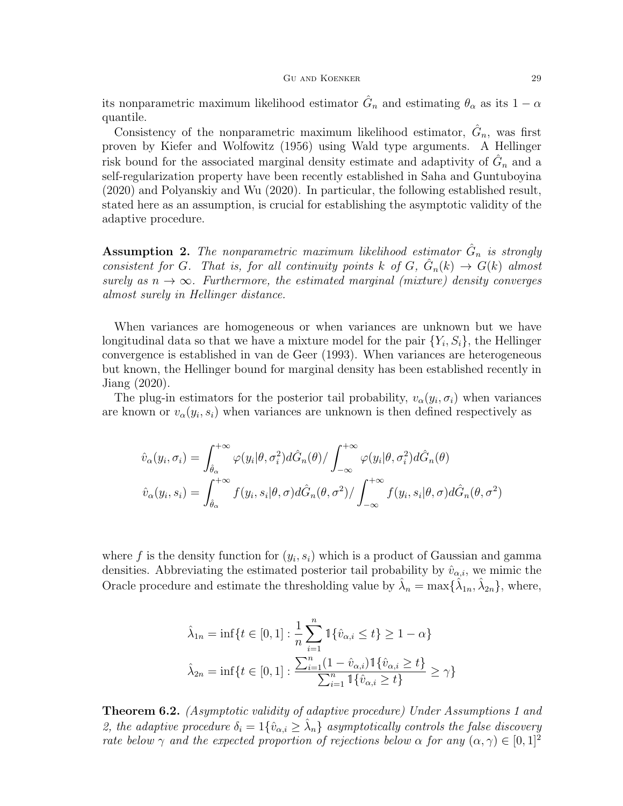its nonparametric maximum likelihood estimator  $\hat{G}_n$  and estimating  $\theta_\alpha$  as its  $1-\alpha$ quantile.

Consistency of the nonparametric maximum likelihood estimator,  $\hat{G}_n$ , was first proven by Kiefer and Wolfowitz (1956) using Wald type arguments. A Hellinger risk bound for the associated marginal density estimate and adaptivity of  $\hat{G}_n$  and a self-regularization property have been recently established in Saha and Guntuboyina (2020) and Polyanskiy and Wu (2020). In particular, the following established result, stated here as an assumption, is crucial for establishing the asymptotic validity of the adaptive procedure.

**Assumption 2.** The nonparametric maximum likelihood estimator  $\hat{G}_n$  is strongly consistent for G. That is, for all continuity points k of G,  $\hat{G}_n(k) \to G(k)$  almost surely as  $n \to \infty$ . Furthermore, the estimated marginal (mixture) density converges almost surely in Hellinger distance.

When variances are homogeneous or when variances are unknown but we have longitudinal data so that we have a mixture model for the pair  $\{Y_i, S_i\}$ , the Hellinger convergence is established in van de Geer (1993). When variances are heterogeneous but known, the Hellinger bound for marginal density has been established recently in Jiang (2020).

The plug-in estimators for the posterior tail probability,  $v_{\alpha}(y_i, \sigma_i)$  when variances are known or  $v_{\alpha}(y_i, s_i)$  when variances are unknown is then defined respectively as

$$
\hat{v}_{\alpha}(y_i, \sigma_i) = \int_{\hat{\theta}_{\alpha}}^{+\infty} \varphi(y_i | \theta, \sigma_i^2) d\hat{G}_n(\theta) / \int_{-\infty}^{+\infty} \varphi(y_i | \theta, \sigma_i^2) d\hat{G}_n(\theta)
$$

$$
\hat{v}_{\alpha}(y_i, s_i) = \int_{\hat{\theta}_{\alpha}}^{+\infty} f(y_i, s_i | \theta, \sigma) d\hat{G}_n(\theta, \sigma^2) / \int_{-\infty}^{+\infty} f(y_i, s_i | \theta, \sigma) d\hat{G}_n(\theta, \sigma^2)
$$

where f is the density function for  $(y_i, s_i)$  which is a product of Gaussian and gamma densities. Abbreviating the estimated posterior tail probability by  $\hat{v}_{\alpha,i}$ , we mimic the Oracle procedure and estimate the thresholding value by  $\hat{\lambda}_n = \max{\{\hat{\lambda}_{1n}, \hat{\lambda}_{2n}\}}$ , where,

$$
\hat{\lambda}_{1n} = \inf\{t \in [0, 1] : \frac{1}{n} \sum_{i=1}^{n} \mathbb{1}\{\hat{v}_{\alpha, i} \le t\} \ge 1 - \alpha\}
$$

$$
\hat{\lambda}_{2n} = \inf\{t \in [0, 1] : \frac{\sum_{i=1}^{n} (1 - \hat{v}_{\alpha, i}) \mathbb{1}\{\hat{v}_{\alpha, i} \ge t\}}{\sum_{i=1}^{n} \mathbb{1}\{\hat{v}_{\alpha, i} \ge t\}} \ge \gamma\}
$$

Theorem 6.2. (Asymptotic validity of adaptive procedure) Under Assumptions 1 and 2, the adaptive procedure  $\delta_i = 1\{\hat{v}_{\alpha,i} \geq \hat{\lambda}_n\}$  asymptotically controls the false discovery rate below  $\gamma$  and the expected proportion of rejections below  $\alpha$  for any  $(\alpha, \gamma) \in [0, 1]^2$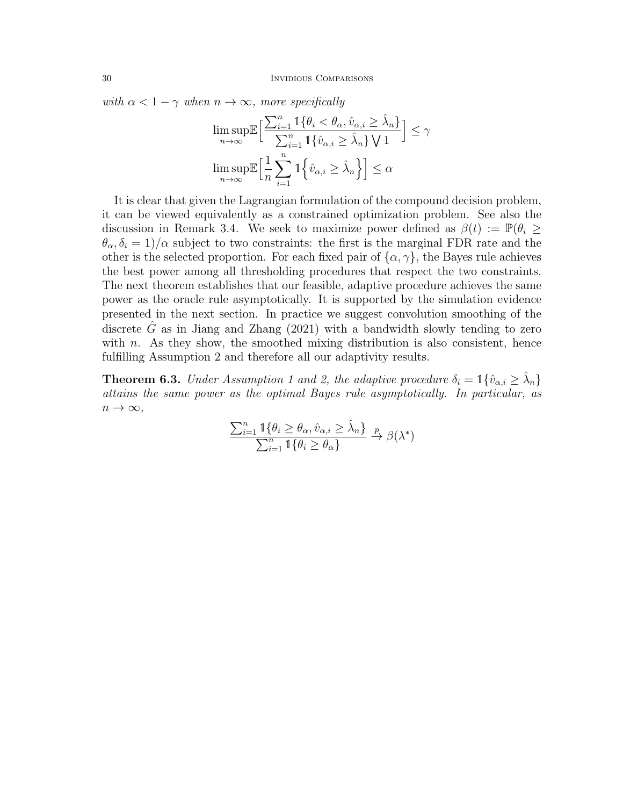with  $\alpha < 1 - \gamma$  when  $n \to \infty$ , more specifically

$$
\limsup_{n \to \infty} \mathbb{E} \Big[ \frac{\sum_{i=1}^{n} \mathbb{1} \{ \theta_i < \theta_\alpha, \hat{v}_{\alpha,i} \geq \hat{\lambda}_n \}}{\sum_{i=1}^{n} \mathbb{1} \{ \hat{v}_{\alpha,i} \geq \hat{\lambda}_n \} \bigvee 1} \Big] \leq \gamma
$$
\n
$$
\limsup_{n \to \infty} \mathbb{E} \Big[ \frac{1}{n} \sum_{i=1}^{n} \mathbb{1} \Big\{ \hat{v}_{\alpha,i} \geq \hat{\lambda}_n \Big\} \Big] \leq \alpha
$$

It is clear that given the Lagrangian formulation of the compound decision problem, it can be viewed equivalently as a constrained optimization problem. See also the discussion in Remark 3.4. We seek to maximize power defined as  $\beta(t) := \mathbb{P}(\theta_i \geq$  $\theta_{\alpha}, \delta_{i} = 1/\alpha$  subject to two constraints: the first is the marginal FDR rate and the other is the selected proportion. For each fixed pair of  $\{\alpha, \gamma\}$ , the Bayes rule achieves the best power among all thresholding procedures that respect the two constraints. The next theorem establishes that our feasible, adaptive procedure achieves the same power as the oracle rule asymptotically. It is supported by the simulation evidence presented in the next section. In practice we suggest convolution smoothing of the discrete  $\tilde{G}$  as in Jiang and Zhang (2021) with a bandwidth slowly tending to zero with  $n$ . As they show, the smoothed mixing distribution is also consistent, hence fulfilling Assumption 2 and therefore all our adaptivity results.

**Theorem 6.3.** Under Assumption 1 and 2, the adaptive procedure  $\delta_i = \mathbb{1}\{\hat{v}_{\alpha,i} \geq \hat{\lambda}_n\}$ attains the same power as the optimal Bayes rule asymptotically. In particular, as  $n \to \infty$ ,

$$
\frac{\sum_{i=1}^{n} \mathbb{1}\{\theta_i \ge \theta_\alpha, \hat{v}_{\alpha,i} \ge \hat{\lambda}_n\}}{\sum_{i=1}^{n} \mathbb{1}\{\theta_i \ge \theta_\alpha\}} \xrightarrow{p} \beta(\lambda^*)
$$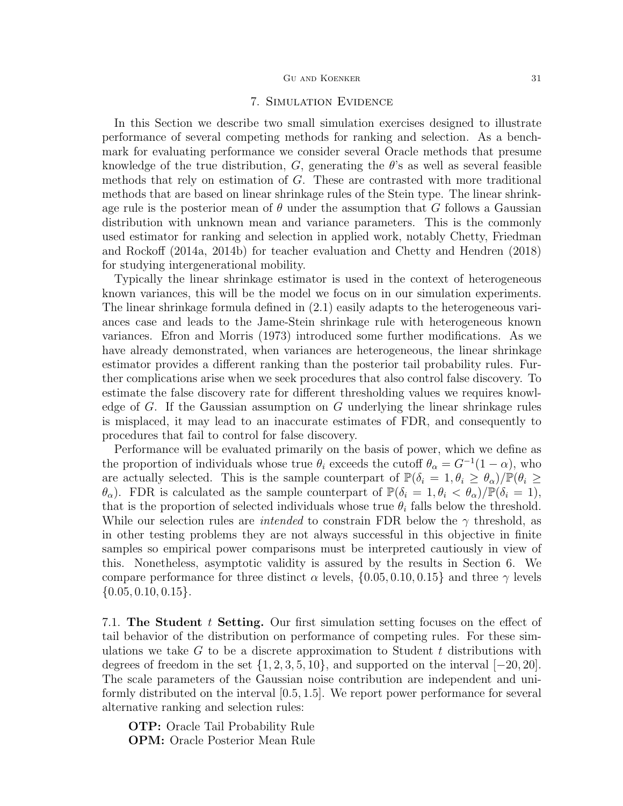## GU AND KOENKER  $31$

# 7. Simulation Evidence

In this Section we describe two small simulation exercises designed to illustrate performance of several competing methods for ranking and selection. As a benchmark for evaluating performance we consider several Oracle methods that presume knowledge of the true distribution, G, generating the  $\theta$ 's as well as several feasible methods that rely on estimation of G. These are contrasted with more traditional methods that are based on linear shrinkage rules of the Stein type. The linear shrinkage rule is the posterior mean of  $\theta$  under the assumption that G follows a Gaussian distribution with unknown mean and variance parameters. This is the commonly used estimator for ranking and selection in applied work, notably Chetty, Friedman and Rockoff (2014a, 2014b) for teacher evaluation and Chetty and Hendren (2018) for studying intergenerational mobility.

Typically the linear shrinkage estimator is used in the context of heterogeneous known variances, this will be the model we focus on in our simulation experiments. The linear shrinkage formula defined in (2.1) easily adapts to the heterogeneous variances case and leads to the Jame-Stein shrinkage rule with heterogeneous known variances. Efron and Morris (1973) introduced some further modifications. As we have already demonstrated, when variances are heterogeneous, the linear shrinkage estimator provides a different ranking than the posterior tail probability rules. Further complications arise when we seek procedures that also control false discovery. To estimate the false discovery rate for different thresholding values we requires knowledge of  $G$ . If the Gaussian assumption on  $G$  underlying the linear shrinkage rules is misplaced, it may lead to an inaccurate estimates of FDR, and consequently to procedures that fail to control for false discovery.

Performance will be evaluated primarily on the basis of power, which we define as the proportion of individuals whose true  $\theta_i$  exceeds the cutoff  $\theta_\alpha = G^{-1}(1-\alpha)$ , who are actually selected. This is the sample counterpart of  $\mathbb{P}(\delta_i = 1, \theta_i \geq \theta_\alpha)/\mathbb{P}(\theta_i \geq$  $\theta_{\alpha}$ ). FDR is calculated as the sample counterpart of  $\mathbb{P}(\delta_i = 1, \theta_i < \theta_{\alpha})/\mathbb{P}(\delta_i = 1)$ , that is the proportion of selected individuals whose true  $\theta_i$  falls below the threshold. While our selection rules are *intended* to constrain FDR below the  $\gamma$  threshold, as in other testing problems they are not always successful in this objective in finite samples so empirical power comparisons must be interpreted cautiously in view of this. Nonetheless, asymptotic validity is assured by the results in Section 6. We compare performance for three distinct  $\alpha$  levels,  $\{0.05, 0.10, 0.15\}$  and three  $\gamma$  levels  $\{0.05, 0.10, 0.15\}.$ 

7.1. The Student t Setting. Our first simulation setting focuses on the effect of tail behavior of the distribution on performance of competing rules. For these simulations we take  $G$  to be a discrete approximation to Student  $t$  distributions with degrees of freedom in the set  $\{1, 2, 3, 5, 10\}$ , and supported on the interval  $[-20, 20]$ . The scale parameters of the Gaussian noise contribution are independent and uniformly distributed on the interval [0.5, 1.5]. We report power performance for several alternative ranking and selection rules:

OTP: Oracle Tail Probability Rule OPM: Oracle Posterior Mean Rule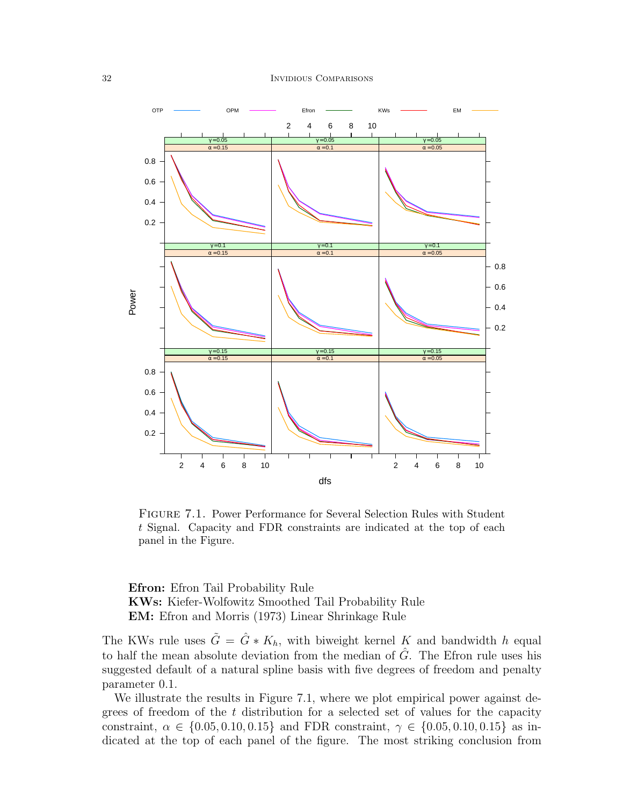

Figure 7.1. Power Performance for Several Selection Rules with Student t Signal. Capacity and FDR constraints are indicated at the top of each panel in the Figure.

Efron: Efron Tail Probability Rule KWs: Kiefer-Wolfowitz Smoothed Tail Probability Rule EM: Efron and Morris (1973) Linear Shrinkage Rule

The KWs rule uses  $\tilde{G} = \hat{G} * K_h$ , with biweight kernel K and bandwidth h equal to half the mean absolute deviation from the median of  $\hat{G}$ . The Efron rule uses his suggested default of a natural spline basis with five degrees of freedom and penalty parameter 0.1.

We illustrate the results in Figure 7.1, where we plot empirical power against degrees of freedom of the t distribution for a selected set of values for the capacity constraint,  $\alpha \in \{0.05, 0.10, 0.15\}$  and FDR constraint,  $\gamma \in \{0.05, 0.10, 0.15\}$  as indicated at the top of each panel of the figure. The most striking conclusion from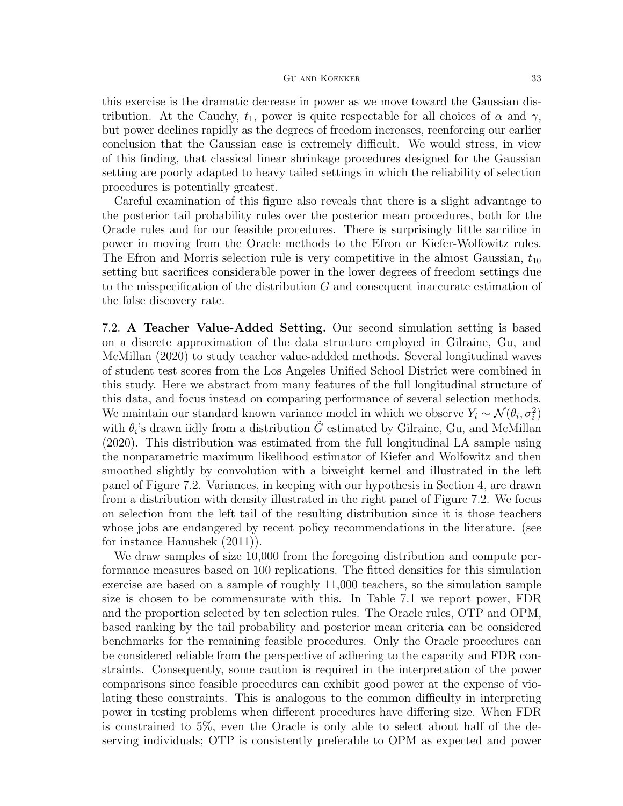this exercise is the dramatic decrease in power as we move toward the Gaussian distribution. At the Cauchy,  $t_1$ , power is quite respectable for all choices of  $\alpha$  and  $\gamma$ , but power declines rapidly as the degrees of freedom increases, reenforcing our earlier conclusion that the Gaussian case is extremely difficult. We would stress, in view of this finding, that classical linear shrinkage procedures designed for the Gaussian setting are poorly adapted to heavy tailed settings in which the reliability of selection procedures is potentially greatest.

Careful examination of this figure also reveals that there is a slight advantage to the posterior tail probability rules over the posterior mean procedures, both for the Oracle rules and for our feasible procedures. There is surprisingly little sacrifice in power in moving from the Oracle methods to the Efron or Kiefer-Wolfowitz rules. The Efron and Morris selection rule is very competitive in the almost Gaussian,  $t_{10}$ setting but sacrifices considerable power in the lower degrees of freedom settings due to the misspecification of the distribution G and consequent inaccurate estimation of the false discovery rate.

7.2. A Teacher Value-Added Setting. Our second simulation setting is based on a discrete approximation of the data structure employed in Gilraine, Gu, and McMillan (2020) to study teacher value-addded methods. Several longitudinal waves of student test scores from the Los Angeles Unified School District were combined in this study. Here we abstract from many features of the full longitudinal structure of this data, and focus instead on comparing performance of several selection methods. We maintain our standard known variance model in which we observe  $Y_i \sim \mathcal{N}(\theta_i, \sigma_i^2)$ with  $\theta_i$ 's drawn iidly from a distribution  $\tilde{G}$  estimated by Gilraine, Gu, and McMillan (2020). This distribution was estimated from the full longitudinal LA sample using the nonparametric maximum likelihood estimator of Kiefer and Wolfowitz and then smoothed slightly by convolution with a biweight kernel and illustrated in the left panel of Figure 7.2. Variances, in keeping with our hypothesis in Section 4, are drawn from a distribution with density illustrated in the right panel of Figure 7.2. We focus on selection from the left tail of the resulting distribution since it is those teachers whose jobs are endangered by recent policy recommendations in the literature. (see for instance Hanushek (2011)).

We draw samples of size 10,000 from the foregoing distribution and compute performance measures based on 100 replications. The fitted densities for this simulation exercise are based on a sample of roughly 11,000 teachers, so the simulation sample size is chosen to be commensurate with this. In Table 7.1 we report power, FDR and the proportion selected by ten selection rules. The Oracle rules, OTP and OPM, based ranking by the tail probability and posterior mean criteria can be considered benchmarks for the remaining feasible procedures. Only the Oracle procedures can be considered reliable from the perspective of adhering to the capacity and FDR constraints. Consequently, some caution is required in the interpretation of the power comparisons since feasible procedures can exhibit good power at the expense of violating these constraints. This is analogous to the common difficulty in interpreting power in testing problems when different procedures have differing size. When FDR is constrained to 5%, even the Oracle is only able to select about half of the deserving individuals; OTP is consistently preferable to OPM as expected and power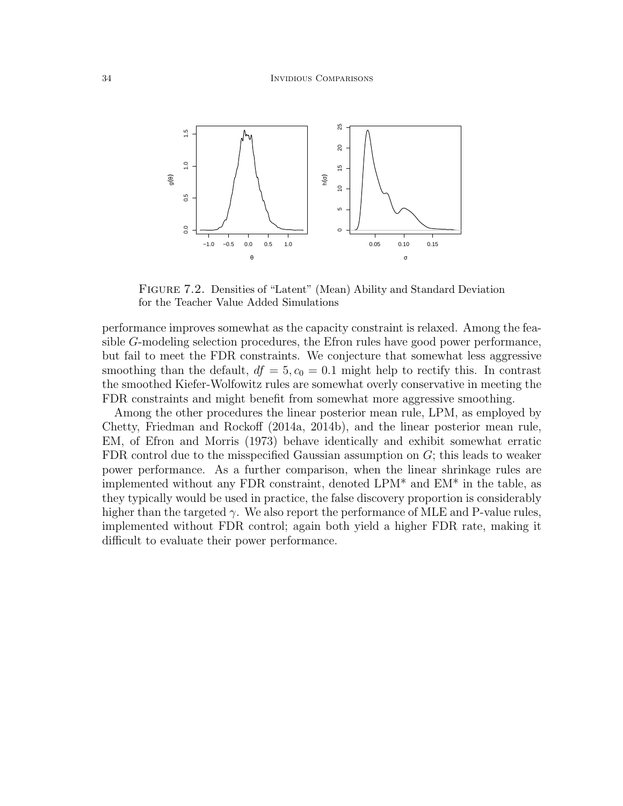

FIGURE 7.2. Densities of "Latent" (Mean) Ability and Standard Deviation for the Teacher Value Added Simulations

performance improves somewhat as the capacity constraint is relaxed. Among the feasible G-modeling selection procedures, the Efron rules have good power performance, but fail to meet the FDR constraints. We conjecture that somewhat less aggressive smoothing than the default,  $df = 5, c_0 = 0.1$  might help to rectify this. In contrast the smoothed Kiefer-Wolfowitz rules are somewhat overly conservative in meeting the FDR constraints and might benefit from somewhat more aggressive smoothing.

Among the other procedures the linear posterior mean rule, LPM, as employed by Chetty, Friedman and Rockoff (2014a, 2014b), and the linear posterior mean rule, EM, of Efron and Morris (1973) behave identically and exhibit somewhat erratic FDR control due to the misspecified Gaussian assumption on G; this leads to weaker power performance. As a further comparison, when the linear shrinkage rules are implemented without any FDR constraint, denoted LPM\* and EM\* in the table, as they typically would be used in practice, the false discovery proportion is considerably higher than the targeted  $\gamma$ . We also report the performance of MLE and P-value rules, implemented without FDR control; again both yield a higher FDR rate, making it difficult to evaluate their power performance.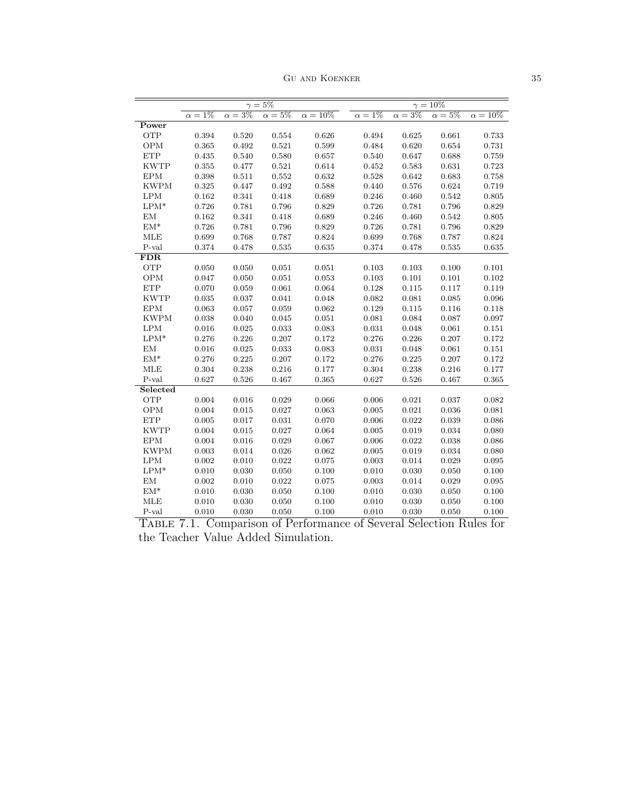Gu and Koenker 35

|                                                                           | $\gamma = 5\%$      |              |              |                 | $\gamma = 10\%$ |              |              |                 |
|---------------------------------------------------------------------------|---------------------|--------------|--------------|-----------------|-----------------|--------------|--------------|-----------------|
|                                                                           | $1\%$<br>$\alpha =$ | $\alpha=3\%$ | $\alpha=5\%$ | $\alpha = 10\%$ | $\alpha=1\%$    | $\alpha=3\%$ | $\alpha=5\%$ | $\alpha = 10\%$ |
| Power                                                                     |                     |              |              |                 |                 |              |              |                 |
| <b>OTP</b>                                                                | 0.394               | 0.520        | 0.554        | 0.626           | 0.494           | 0.625        | 0.661        | 0.733           |
| <b>OPM</b>                                                                | 0.365               | 0.492        | 0.521        | 0.599           | 0.484           | 0.620        | 0.654        | 0.731           |
| ETP                                                                       | 0.435               | 0.540        | 0.580        | 0.657           | 0.540           | 0.647        | 0.688        | 0.759           |
| <b>KWTP</b>                                                               | 0.355               | 0.477        | 0.521        | 0.614           | 0.452           | 0.583        | 0.631        | 0.723           |
| <b>EPM</b>                                                                | 0.398               | 0.511        | 0.552        | 0.632           | 0.528           | 0.642        | 0.683        | 0.758           |
| <b>KWPM</b>                                                               | 0.325               | 0.447        | 0.492        | 0.588           | 0.440           | 0.576        | 0.624        | 0.719           |
| LPM                                                                       | 0.162               | $\!0.341$    | 0.418        | 0.689           | 0.246           | 0.460        | 0.542        | 0.805           |
| $LPM^*$                                                                   | 0.726               | 0.781        | 0.796        | 0.829           | 0.726           | 0.781        | 0.796        | 0.829           |
| $\mathrm{EM}$                                                             | 0.162               | 0.341        | 0.418        | 0.689           | 0.246           | 0.460        | 0.542        | 0.805           |
| $\mathrm{EM}^*$                                                           | 0.726               | 0.781        | 0.796        | 0.829           | 0.726           | 0.781        | 0.796        | 0.829           |
| <b>MLE</b>                                                                | 0.699               | 0.768        | 0.787        | 0.824           | 0.699           | 0.768        | 0.787        | 0.824           |
| P-val                                                                     | 0.374               | 0.478        | 0.535        | 0.635           | 0.374           | 0.478        | 0.535        | 0.635           |
| <b>FDR</b>                                                                |                     |              |              |                 |                 |              |              |                 |
| OTP                                                                       | 0.050               | 0.050        | 0.051        | 0.051           | 0.103           | 0.103        | 0.100        | 0.101           |
| OPM                                                                       | 0.047               | 0.050        | 0.051        | 0.053           | 0.103           | 0.101        | 0.101        | 0.102           |
| <b>ETP</b>                                                                | 0.070               | 0.059        | 0.061        | 0.064           | 0.128           | 0.115        | 0.117        | 0.119           |
| <b>KWTP</b>                                                               | 0.035               | 0.037        | 0.041        | 0.048           | 0.082           | 0.081        | 0.085        | 0.096           |
| <b>EPM</b>                                                                | 0.063               | 0.057        | 0.059        | 0.062           | 0.129           | 0.115        | 0.116        | 0.118           |
| <b>KWPM</b>                                                               | 0.038               | 0.040        | 0.045        | 0.051           | 0.081           | 0.084        | 0.087        | 0.097           |
| <b>LPM</b>                                                                | 0.016               | 0.025        | 0.033        | 0.083           | 0.031           | 0.048        | 0.061        | 0.151           |
| $LPM*$                                                                    | 0.276               | 0.226        | 0.207        | 0.172           | 0.276           | 0.226        | 0.207        | $0.172\,$       |
| EM                                                                        | 0.016               | 0.025        | 0.033        | 0.083           | 0.031           | 0.048        | 0.061        | 0.151           |
| $\mathrm{EM}^*$                                                           | 0.276               | 0.225        | 0.207        | 0.172           | 0.276           | 0.225        | 0.207        | 0.172           |
| <b>MLE</b>                                                                | 0.304               | 0.238        | 0.216        | 0.177           | 0.304           | 0.238        | 0.216        | 0.177           |
| $P$ -val                                                                  | 0.627               | 0.526        | 0.467        | 0.365           | 0.627           | 0.526        | 0.467        | 0.365           |
| Selected                                                                  |                     |              |              |                 |                 |              |              |                 |
| OTP                                                                       | 0.004               | 0.016        | 0.029        | 0.066           | 0.006           | 0.021        | 0.037        | 0.082           |
| OPM                                                                       | 0.004               | 0.015        | 0.027        | 0.063           | 0.005           | 0.021        | 0.036        | 0.081           |
| <b>ETP</b>                                                                | 0.005               | 0.017        | 0.031        | 0.070           | 0.006           | 0.022        | 0.039        | 0.086           |
| <b>KWTP</b>                                                               | 0.004               | 0.015        | 0.027        | 0.064           | 0.005           | 0.019        | 0.034        | 0.080           |
| <b>EPM</b>                                                                | 0.004               | 0.016        | 0.029        | 0.067           | 0.006           | 0.022        | 0.038        | 0.086           |
| <b>KWPM</b>                                                               | 0.003               | 0.014        | 0.026        | 0.062           | 0.005           | 0.019        | 0.034        | 0.080           |
| <b>LPM</b>                                                                | 0.002               | 0.010        | 0.022        | 0.075           | 0.003           | 0.014        | 0.029        | 0.095           |
| $LPM*$                                                                    | 0.010               | 0.030        | 0.050        | 0.100           | 0.010           | 0.030        | 0.050        | 0.100           |
| EM                                                                        | 0.002               | 0.010        | 0.022        | 0.075           | 0.003           | 0.014        | 0.029        | 0.095           |
| $\mathrm{EM}^*$                                                           | 0.010               | 0.030        | 0.050        | 0.100           | 0.010           | 0.030        | 0.050        | 0.100           |
| MLE                                                                       | 0.010               | 0.030        | 0.050        | 0.100           | 0.010           | 0.030        | 0.050        | 0.100           |
| P-val                                                                     | 0.010               | 0.030        | 0.050        | 0.100           | 0.010           | 0.030        | 0.050        | 0.100           |
| Comparison of Performance of Several Selection Rules for<br>7.1.<br>TABLE |                     |              |              |                 |                 |              |              |                 |

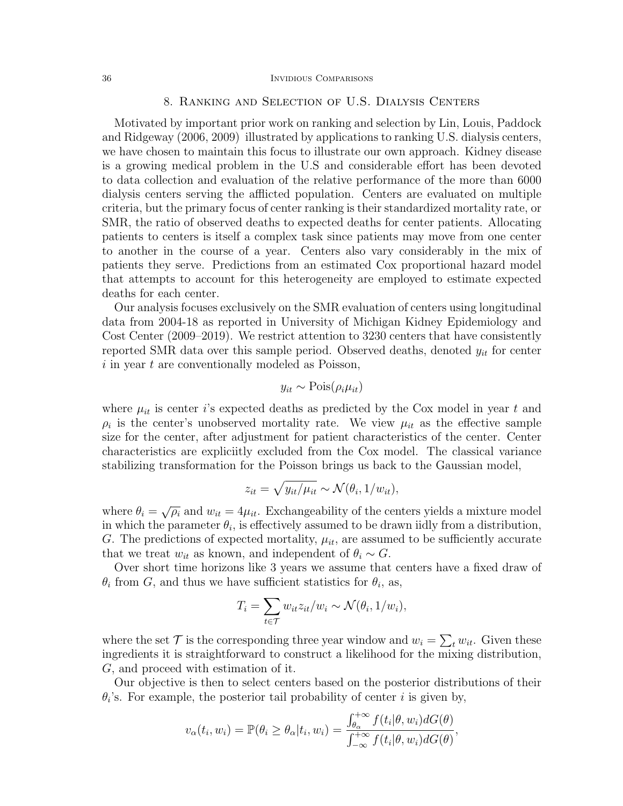#### 36 Invidious Comparisons

# 8. Ranking and Selection of U.S. Dialysis Centers

Motivated by important prior work on ranking and selection by Lin, Louis, Paddock and Ridgeway (2006, 2009) illustrated by applications to ranking U.S. dialysis centers, we have chosen to maintain this focus to illustrate our own approach. Kidney disease is a growing medical problem in the U.S and considerable effort has been devoted to data collection and evaluation of the relative performance of the more than 6000 dialysis centers serving the afflicted population. Centers are evaluated on multiple criteria, but the primary focus of center ranking is their standardized mortality rate, or SMR, the ratio of observed deaths to expected deaths for center patients. Allocating patients to centers is itself a complex task since patients may move from one center to another in the course of a year. Centers also vary considerably in the mix of patients they serve. Predictions from an estimated Cox proportional hazard model that attempts to account for this heterogeneity are employed to estimate expected deaths for each center.

Our analysis focuses exclusively on the SMR evaluation of centers using longitudinal data from 2004-18 as reported in University of Michigan Kidney Epidemiology and Cost Center (2009–2019). We restrict attention to 3230 centers that have consistently reported SMR data over this sample period. Observed deaths, denoted  $y_{it}$  for center  $i$  in year  $t$  are conventionally modeled as Poisson,

$$
y_{it} \sim \text{Pois}(\rho_i \mu_{it})
$$

where  $\mu_{it}$  is center i's expected deaths as predicted by the Cox model in year t and  $\rho_i$  is the center's unobserved mortality rate. We view  $\mu_{it}$  as the effective sample size for the center, after adjustment for patient characteristics of the center. Center characteristics are expliciitly excluded from the Cox model. The classical variance stabilizing transformation for the Poisson brings us back to the Gaussian model,

$$
z_{it} = \sqrt{y_{it}/\mu_{it}} \sim \mathcal{N}(\theta_i, 1/w_{it}),
$$

where  $\theta_i = \sqrt{\rho_i}$  and  $w_{it} = 4\mu_{it}$ . Exchangeability of the centers yields a mixture model in which the parameter  $\theta_i$ , is effectively assumed to be drawn iidly from a distribution, G. The predictions of expected mortality,  $\mu_{it}$ , are assumed to be sufficiently accurate that we treat  $w_{it}$  as known, and independent of  $\theta_i \sim G$ .

Over short time horizons like 3 years we assume that centers have a fixed draw of  $\theta_i$  from G, and thus we have sufficient statistics for  $\theta_i$ , as,

$$
T_i = \sum_{t \in \mathcal{T}} w_{it} z_{it}/w_i \sim \mathcal{N}(\theta_i, 1/w_i),
$$

where the set  $\mathcal T$  is the corresponding three year window and  $w_i = \sum_t w_{it}$ . Given these ingredients it is straightforward to construct a likelihood for the mixing distribution, G, and proceed with estimation of it.

Our objective is then to select centers based on the posterior distributions of their  $\theta_i$ 's. For example, the posterior tail probability of center i is given by,

$$
v_{\alpha}(t_i, w_i) = \mathbb{P}(\theta_i \ge \theta_{\alpha}| t_i, w_i) = \frac{\int_{\theta_{\alpha}}^{+\infty} f(t_i | \theta, w_i) dG(\theta)}{\int_{-\infty}^{+\infty} f(t_i | \theta, w_i) dG(\theta)},
$$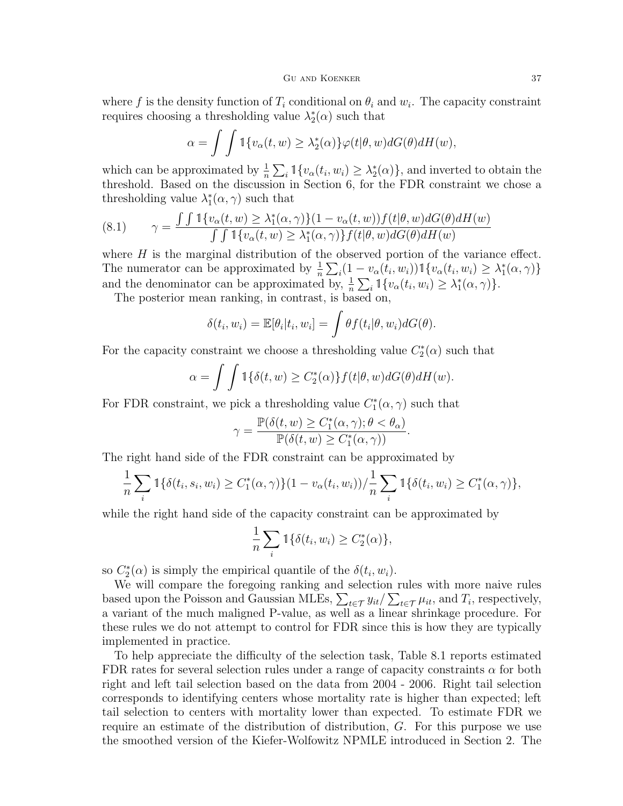where f is the density function of  $T_i$  conditional on  $\theta_i$  and  $w_i$ . The capacity constraint requires choosing a thresholding value  $\lambda_2^*(\alpha)$  such that

$$
\alpha = \int \int \mathbb{1}\{v_{\alpha}(t, w) \ge \lambda_2^*(\alpha)\} \varphi(t|\theta, w) dG(\theta) dH(w),
$$

which can be approximated by  $\frac{1}{n} \sum_i \mathbb{1}\{v_\alpha(t_i, w_i) \geq \lambda_2^*(\alpha)\}\)$ , and inverted to obtain the threshold. Based on the discussion in Section 6, for the FDR constraint we chose a thresholding value  $\lambda_1^*(\alpha, \gamma)$  such that

(8.1) 
$$
\gamma = \frac{\int \int \mathbb{1}\{v_{\alpha}(t,w) \geq \lambda_1^*(\alpha,\gamma)\}(1 - v_{\alpha}(t,w))f(t|\theta,w)dG(\theta)dH(w)}{\int \int \mathbb{1}\{v_{\alpha}(t,w) \geq \lambda_1^*(\alpha,\gamma)\}f(t|\theta,w)dG(\theta)dH(w)}
$$

where  $H$  is the marginal distribution of the observed portion of the variance effect. The numerator can be approximated by  $\frac{1}{n} \sum_i (1 - v_\alpha(t_i, w_i)) \mathbb{1}{v_\alpha(t_i, w_i) \geq \lambda_1^*(\alpha, \gamma)}$ and the denominator can be approximated by,  $\frac{1}{n} \sum_i \mathbb{1}\{v_\alpha(t_i, w_i) \geq \lambda_1^*(\alpha, \gamma)\}.$ 

The posterior mean ranking, in contrast, is based on,

$$
\delta(t_i, w_i) = \mathbb{E}[\theta_i | t_i, w_i] = \int \theta f(t_i | \theta, w_i) dG(\theta).
$$

For the capacity constraint we choose a thresholding value  $C_2^*(\alpha)$  such that

$$
\alpha = \int \int \mathbb{1}\{\delta(t, w) \ge C_2^*(\alpha)\} f(t|\theta, w) dG(\theta) dH(w).
$$

For FDR constraint, we pick a thresholding value  $C_1^*(\alpha, \gamma)$  such that

$$
\gamma = \frac{\mathbb{P}(\delta(t, w) \ge C_1^*(\alpha, \gamma); \theta < \theta_\alpha)}{\mathbb{P}(\delta(t, w) \ge C_1^*(\alpha, \gamma))}.
$$

The right hand side of the FDR constraint can be approximated by

$$
\frac{1}{n}\sum_{i} \mathbb{1}\{\delta(t_i, s_i, w_i) \ge C_1^*(\alpha, \gamma)\}(1 - v_\alpha(t_i, w_i))/\frac{1}{n}\sum_{i} \mathbb{1}\{\delta(t_i, w_i) \ge C_1^*(\alpha, \gamma)\},\
$$

while the right hand side of the capacity constraint can be approximated by

$$
\frac{1}{n}\sum_{i} \mathbb{1}\{\delta(t_i, w_i) \ge C_2^*(\alpha)\},\
$$

so  $C_2^*(\alpha)$  is simply the empirical quantile of the  $\delta(t_i, w_i)$ .

We will compare the foregoing ranking and selection rules with more naive rules based upon the Poisson and Gaussian MLEs,  $\sum_{t \in \mathcal{T}} y_{it}/\sum_{t \in \mathcal{T}} \mu_{it}$ , and  $T_i$ , respectively, a variant of the much maligned P-value, as well as a linear shrinkage procedure. For these rules we do not attempt to control for FDR since this is how they are typically implemented in practice.

To help appreciate the difficulty of the selection task, Table 8.1 reports estimated FDR rates for several selection rules under a range of capacity constraints  $\alpha$  for both right and left tail selection based on the data from 2004 - 2006. Right tail selection corresponds to identifying centers whose mortality rate is higher than expected; left tail selection to centers with mortality lower than expected. To estimate FDR we require an estimate of the distribution of distribution, G. For this purpose we use the smoothed version of the Kiefer-Wolfowitz NPMLE introduced in Section 2. The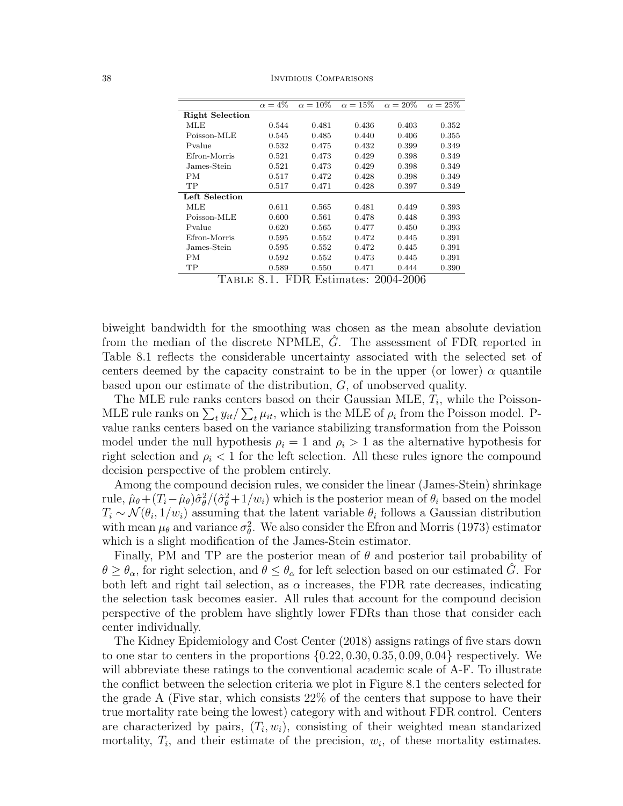38 Invidious Comparisons

|       |              | $\alpha = 15\%$ | $\alpha = 20\%$ | $\alpha=25\%$                     |
|-------|--------------|-----------------|-----------------|-----------------------------------|
|       |              |                 |                 |                                   |
| 0.544 | 0.481        | 0.436           | 0.403           | 0.352                             |
| 0.545 | 0.485        | 0.440           | 0.406           | 0.355                             |
| 0.532 | 0.475        | 0.432           | 0.399           | 0.349                             |
| 0.521 | 0.473        | 0.429           | 0.398           | 0.349                             |
| 0.521 | 0.473        | 0.429           | 0.398           | 0.349                             |
| 0.517 | 0.472        | 0.428           | 0.398           | 0.349                             |
| 0.517 | 0.471        | 0.428           | 0.397           | 0.349                             |
|       |              |                 |                 |                                   |
| 0.611 | 0.565        | 0.481           | 0.449           | 0.393                             |
| 0.600 | 0.561        | 0.478           | 0.448           | 0.393                             |
| 0.620 | 0.565        | 0.477           | 0.450           | 0.393                             |
| 0.595 | 0.552        | 0.472           | 0.445           | 0.391                             |
| 0.595 | 0.552        | 0.472           | 0.445           | 0.391                             |
| 0.592 | 0.552        | 0.473           | 0.445           | 0.391                             |
| 0.589 | 0.550        | 0.471           | 0.444           | 0.390                             |
|       | 1<br>$\circ$ | EDD             |                 | $\Gamma$ atim atası<br>ററവ<br>വഡഭ |

Table 8.1. FDR Estimates: 2004-2006

biweight bandwidth for the smoothing was chosen as the mean absolute deviation from the median of the discrete NPMLE,  $\hat{G}$ . The assessment of FDR reported in Table 8.1 reflects the considerable uncertainty associated with the selected set of centers deemed by the capacity constraint to be in the upper (or lower)  $\alpha$  quantile based upon our estimate of the distribution, G, of unobserved quality.

The MLE rule ranks centers based on their Gaussian MLE,  $T_i$ , while the Poisson-MLE rule ranks on  $\sum_t y_{it}/\sum_t \mu_{it}$ , which is the MLE of  $\rho_i$  from the Poisson model. Pvalue ranks centers based on the variance stabilizing transformation from the Poisson model under the null hypothesis  $\rho_i = 1$  and  $\rho_i > 1$  as the alternative hypothesis for right selection and  $\rho_i < 1$  for the left selection. All these rules ignore the compound decision perspective of the problem entirely.

Among the compound decision rules, we consider the linear (James-Stein) shrinkage rule,  $\hat{\mu}_{\theta} + (T_i - \hat{\mu}_{\theta})\hat{\sigma}_{\theta}^2/(\hat{\sigma}_{\theta}^2 + 1/w_i)$  which is the posterior mean of  $\theta_i$  based on the model  $T_i \sim \mathcal{N}(\theta_i, 1/w_i)$  assuming that the latent variable  $\theta_i$  follows a Gaussian distribution with mean  $\mu_{\theta}$  and variance  $\sigma_{\theta}^2$ . We also consider the Efron and Morris (1973) estimator which is a slight modification of the James-Stein estimator.

Finally, PM and TP are the posterior mean of  $\theta$  and posterior tail probability of  $\theta \geq \theta_{\alpha}$ , for right selection, and  $\theta \leq \theta_{\alpha}$  for left selection based on our estimated  $\hat{G}$ . For both left and right tail selection, as  $\alpha$  increases, the FDR rate decreases, indicating the selection task becomes easier. All rules that account for the compound decision perspective of the problem have slightly lower FDRs than those that consider each center individually.

The Kidney Epidemiology and Cost Center (2018) assigns ratings of five stars down to one star to centers in the proportions  $\{0.22, 0.30, 0.35, 0.09, 0.04\}$  respectively. We will abbreviate these ratings to the conventional academic scale of A-F. To illustrate the conflict between the selection criteria we plot in Figure 8.1 the centers selected for the grade A (Five star, which consists 22% of the centers that suppose to have their true mortality rate being the lowest) category with and without FDR control. Centers are characterized by pairs,  $(T_i, w_i)$ , consisting of their weighted mean standarized mortality,  $T_i$ , and their estimate of the precision,  $w_i$ , of these mortality estimates.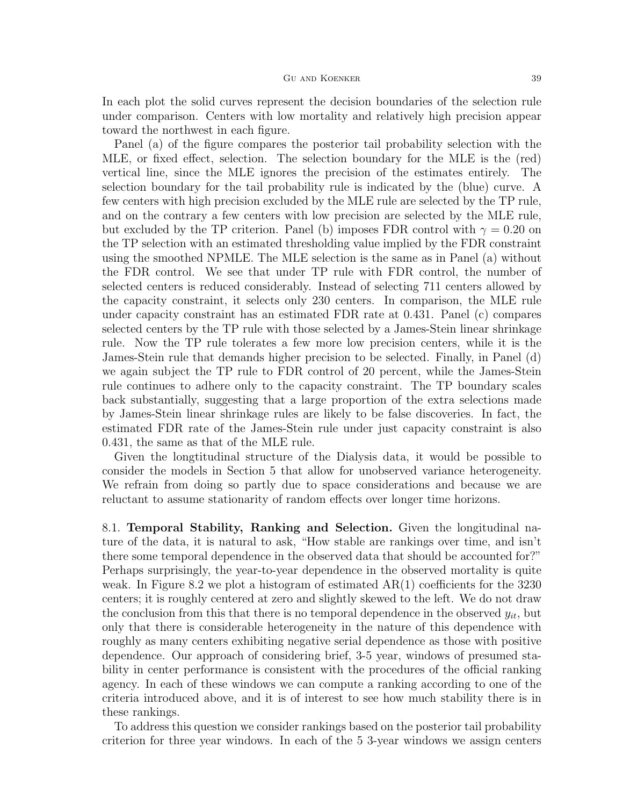In each plot the solid curves represent the decision boundaries of the selection rule under comparison. Centers with low mortality and relatively high precision appear toward the northwest in each figure.

Panel (a) of the figure compares the posterior tail probability selection with the MLE, or fixed effect, selection. The selection boundary for the MLE is the (red) vertical line, since the MLE ignores the precision of the estimates entirely. The selection boundary for the tail probability rule is indicated by the (blue) curve. A few centers with high precision excluded by the MLE rule are selected by the TP rule, and on the contrary a few centers with low precision are selected by the MLE rule, but excluded by the TP criterion. Panel (b) imposes FDR control with  $\gamma = 0.20$  on the TP selection with an estimated thresholding value implied by the FDR constraint using the smoothed NPMLE. The MLE selection is the same as in Panel (a) without the FDR control. We see that under TP rule with FDR control, the number of selected centers is reduced considerably. Instead of selecting 711 centers allowed by the capacity constraint, it selects only 230 centers. In comparison, the MLE rule under capacity constraint has an estimated FDR rate at 0.431. Panel (c) compares selected centers by the TP rule with those selected by a James-Stein linear shrinkage rule. Now the TP rule tolerates a few more low precision centers, while it is the James-Stein rule that demands higher precision to be selected. Finally, in Panel (d) we again subject the TP rule to FDR control of 20 percent, while the James-Stein rule continues to adhere only to the capacity constraint. The TP boundary scales back substantially, suggesting that a large proportion of the extra selections made by James-Stein linear shrinkage rules are likely to be false discoveries. In fact, the estimated FDR rate of the James-Stein rule under just capacity constraint is also 0.431, the same as that of the MLE rule.

Given the longtitudinal structure of the Dialysis data, it would be possible to consider the models in Section 5 that allow for unobserved variance heterogeneity. We refrain from doing so partly due to space considerations and because we are reluctant to assume stationarity of random effects over longer time horizons.

8.1. Temporal Stability, Ranking and Selection. Given the longitudinal nature of the data, it is natural to ask, "How stable are rankings over time, and isn't there some temporal dependence in the observed data that should be accounted for?" Perhaps surprisingly, the year-to-year dependence in the observed mortality is quite weak. In Figure 8.2 we plot a histogram of estimated  $AR(1)$  coefficients for the 3230 centers; it is roughly centered at zero and slightly skewed to the left. We do not draw the conclusion from this that there is no temporal dependence in the observed  $y_{it}$ , but only that there is considerable heterogeneity in the nature of this dependence with roughly as many centers exhibiting negative serial dependence as those with positive dependence. Our approach of considering brief, 3-5 year, windows of presumed stability in center performance is consistent with the procedures of the official ranking agency. In each of these windows we can compute a ranking according to one of the criteria introduced above, and it is of interest to see how much stability there is in these rankings.

To address this question we consider rankings based on the posterior tail probability criterion for three year windows. In each of the 5 3-year windows we assign centers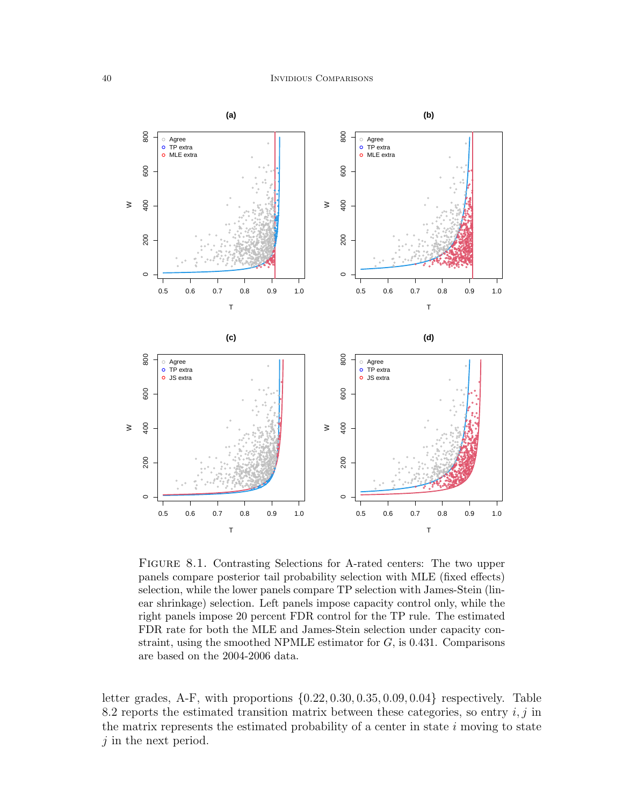

FIGURE 8.1. Contrasting Selections for A-rated centers: The two upper panels compare posterior tail probability selection with MLE (fixed effects) selection, while the lower panels compare TP selection with James-Stein (linear shrinkage) selection. Left panels impose capacity control only, while the right panels impose 20 percent FDR control for the TP rule. The estimated FDR rate for both the MLE and James-Stein selection under capacity constraint, using the smoothed NPMLE estimator for  $G$ , is 0.431. Comparisons are based on the 2004-2006 data.

letter grades, A-F, with proportions  $\{0.22, 0.30, 0.35, 0.09, 0.04\}$  respectively. Table 8.2 reports the estimated transition matrix between these categories, so entry  $i, j$  in the matrix represents the estimated probability of a center in state  $i$  moving to state j in the next period.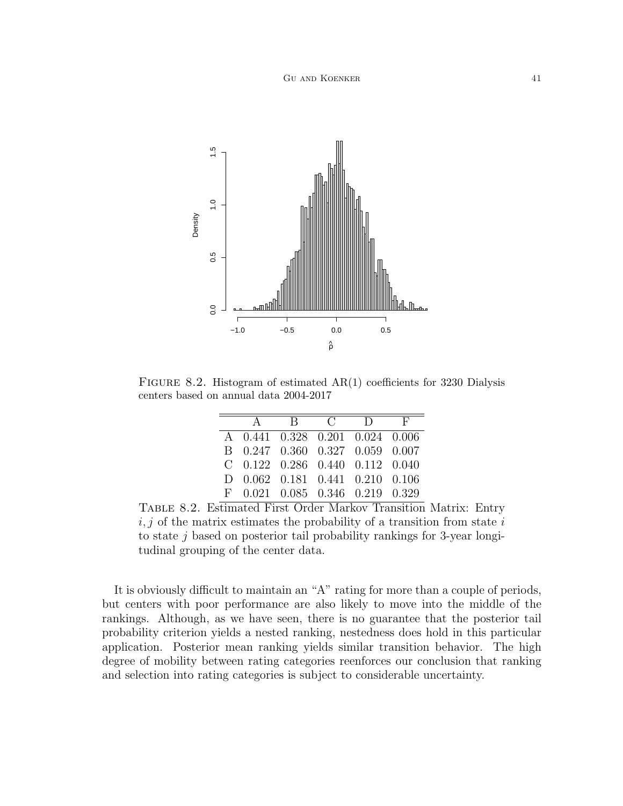

FIGURE 8.2. Histogram of estimated  $AR(1)$  coefficients for 3230 Dialysis centers based on annual data 2004-2017

|                                   |  | A R C D F |  |
|-----------------------------------|--|-----------|--|
| A 0.441 0.328 0.201 0.024 0.006   |  |           |  |
| B 0.247 0.360 0.327 0.059 0.007   |  |           |  |
| $C$ 0.122 0.286 0.440 0.112 0.040 |  |           |  |
| D 0.062 0.181 0.441 0.210 0.106   |  |           |  |
| $F$ 0.021 0.085 0.346 0.219 0.329 |  |           |  |

Table 8.2. Estimated First Order Markov Transition Matrix: Entry  $i, j$  of the matrix estimates the probability of a transition from state i to state  $j$  based on posterior tail probability rankings for 3-year longitudinal grouping of the center data.

It is obviously difficult to maintain an "A" rating for more than a couple of periods, but centers with poor performance are also likely to move into the middle of the rankings. Although, as we have seen, there is no guarantee that the posterior tail probability criterion yields a nested ranking, nestedness does hold in this particular application. Posterior mean ranking yields similar transition behavior. The high degree of mobility between rating categories reenforces our conclusion that ranking and selection into rating categories is subject to considerable uncertainty.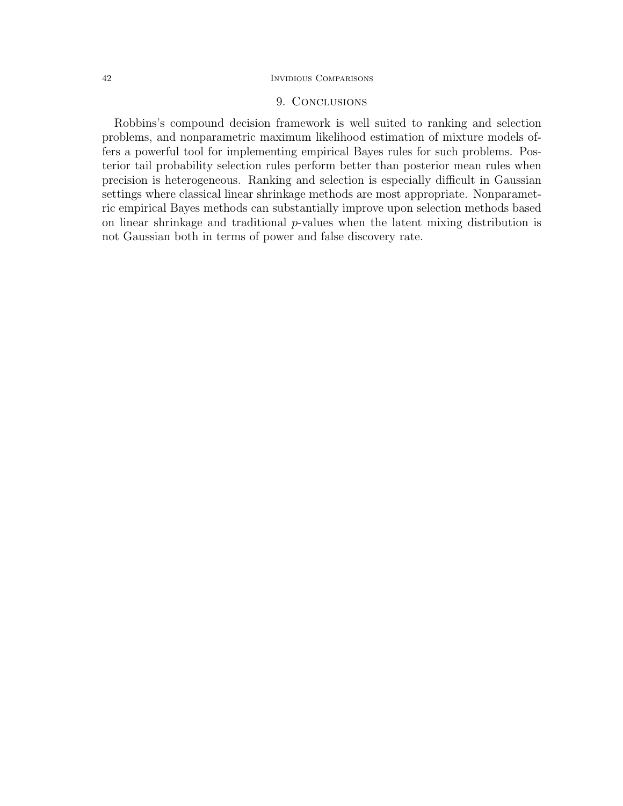# 42 Invidious Comparisons

# 9. Conclusions

Robbins's compound decision framework is well suited to ranking and selection problems, and nonparametric maximum likelihood estimation of mixture models offers a powerful tool for implementing empirical Bayes rules for such problems. Posterior tail probability selection rules perform better than posterior mean rules when precision is heterogeneous. Ranking and selection is especially difficult in Gaussian settings where classical linear shrinkage methods are most appropriate. Nonparametric empirical Bayes methods can substantially improve upon selection methods based on linear shrinkage and traditional p-values when the latent mixing distribution is not Gaussian both in terms of power and false discovery rate.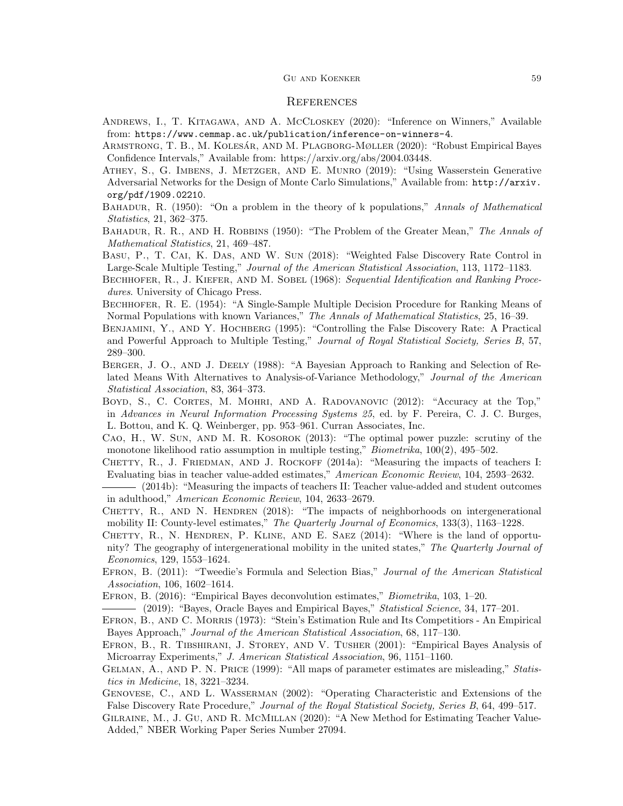#### GU AND KOENKER 59

#### **REFERENCES**

- Andrews, I., T. Kitagawa, and A. McCloskey (2020): "Inference on Winners," Available from: https://www.cemmap.ac.uk/publication/inference-on-winners-4.
- ARMSTRONG, T. B., M. KOLESÁR, AND M. PLAGBORG-MØLLER (2020): "Robust Empirical Bayes Confidence Intervals," Available from: https://arxiv.org/abs/2004.03448.
- Athey, S., G. Imbens, J. Metzger, and E. Munro (2019): "Using Wasserstein Generative Adversarial Networks for the Design of Monte Carlo Simulations," Available from: http://arxiv. org/pdf/1909.02210.
- BAHADUR, R. (1950): "On a problem in the theory of k populations," Annals of Mathematical Statistics, 21, 362–375.
- BAHADUR, R. R., AND H. ROBBINS (1950): "The Problem of the Greater Mean," The Annals of Mathematical Statistics, 21, 469–487.
- Basu, P., T. Cai, K. Das, and W. Sun (2018): "Weighted False Discovery Rate Control in Large-Scale Multiple Testing," Journal of the American Statistical Association, 113, 1172–1183.
- BECHHOFER, R., J. KIEFER, AND M. SOBEL (1968): Sequential Identification and Ranking Procedures. University of Chicago Press.
- Bechhofer, R. E. (1954): "A Single-Sample Multiple Decision Procedure for Ranking Means of Normal Populations with known Variances," The Annals of Mathematical Statistics, 25, 16–39.
- Benjamini, Y., and Y. Hochberg (1995): "Controlling the False Discovery Rate: A Practical and Powerful Approach to Multiple Testing," Journal of Royal Statistical Society, Series B, 57, 289–300.
- BERGER, J. O., AND J. DEELY (1988): "A Bayesian Approach to Ranking and Selection of Related Means With Alternatives to Analysis-of-Variance Methodology," Journal of the American Statistical Association, 83, 364–373.
- Boyd, S., C. Cortes, M. Mohri, and A. Radovanovic (2012): "Accuracy at the Top," in Advances in Neural Information Processing Systems 25, ed. by F. Pereira, C. J. C. Burges, L. Bottou, and K. Q. Weinberger, pp. 953–961. Curran Associates, Inc.
- Cao, H., W. Sun, and M. R. Kosorok (2013): "The optimal power puzzle: scrutiny of the monotone likelihood ratio assumption in multiple testing," Biometrika, 100(2), 495–502.
- CHETTY, R., J. FRIEDMAN, AND J. ROCKOFF (2014a): "Measuring the impacts of teachers I: Evaluating bias in teacher value-added estimates," American Economic Review, 104, 2593–2632.
- (2014b): "Measuring the impacts of teachers II: Teacher value-added and student outcomes in adulthood," American Economic Review, 104, 2633–2679.
- CHETTY, R., AND N. HENDREN (2018): "The impacts of neighborhoods on intergenerational mobility II: County-level estimates," The Quarterly Journal of Economics, 133(3), 1163–1228.
- CHETTY, R., N. HENDREN, P. KLINE, AND E. SAEZ (2014): "Where is the land of opportunity? The geography of intergenerational mobility in the united states," The Quarterly Journal of Economics, 129, 1553–1624.
- EFRON, B. (2011): "Tweedie's Formula and Selection Bias," Journal of the American Statistical Association, 106, 1602–1614.
- Efron, B. (2016): "Empirical Bayes deconvolution estimates," Biometrika, 103, 1–20.
- (2019): "Bayes, Oracle Bayes and Empirical Bayes," Statistical Science, 34, 177–201.
- Efron, B., and C. Morris (1973): "Stein's Estimation Rule and Its Competitiors An Empirical Bayes Approach," Journal of the American Statistical Association, 68, 117–130.
- Efron, B., R. Tibshirani, J. Storey, and V. Tusher (2001): "Empirical Bayes Analysis of Microarray Experiments," J. American Statistical Association, 96, 1151–1160.
- GELMAN, A., AND P. N. PRICE (1999): "All maps of parameter estimates are misleading," Statistics in Medicine, 18, 3221–3234.
- Genovese, C., and L. Wasserman (2002): "Operating Characteristic and Extensions of the False Discovery Rate Procedure," Journal of the Royal Statistical Society, Series B, 64, 499–517.
- Gilraine, M., J. Gu, and R. McMillan (2020): "A New Method for Estimating Teacher Value-Added," NBER Working Paper Series Number 27094.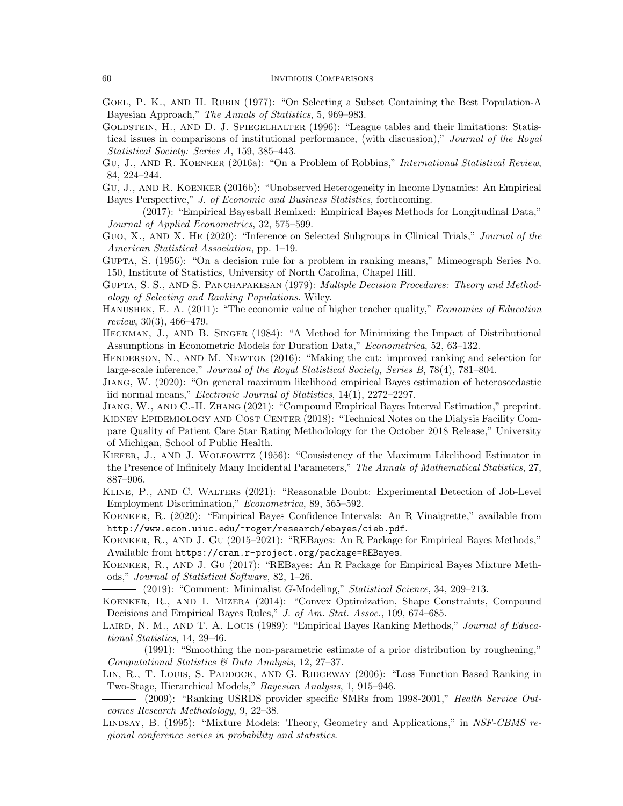- GOEL, P. K., AND H. RUBIN (1977): "On Selecting a Subset Containing the Best Population-A Bayesian Approach," The Annals of Statistics, 5, 969–983.
- GOLDSTEIN, H., AND D. J. SPIEGELHALTER (1996): "League tables and their limitations: Statistical issues in comparisons of institutional performance, (with discussion)," Journal of the Royal Statistical Society: Series A, 159, 385–443.
- Gu, J., and R. Koenker (2016a): "On a Problem of Robbins," International Statistical Review, 84, 224–244.
- Gu, J., and R. Koenker (2016b): "Unobserved Heterogeneity in Income Dynamics: An Empirical Bayes Perspective," J. of Economic and Business Statistics, forthcoming.
- (2017): "Empirical Bayesball Remixed: Empirical Bayes Methods for Longitudinal Data," Journal of Applied Econometrics, 32, 575–599.
- GUO, X., AND X. HE (2020): "Inference on Selected Subgroups in Clinical Trials," Journal of the American Statistical Association, pp. 1–19.
- Gupta, S. (1956): "On a decision rule for a problem in ranking means," Mimeograph Series No. 150, Institute of Statistics, University of North Carolina, Chapel Hill.
- Gupta, S. S., and S. Panchapakesan (1979): Multiple Decision Procedures: Theory and Methodology of Selecting and Ranking Populations. Wiley.
- Hanushek, E. A. (2011): "The economic value of higher teacher quality," Economics of Education review, 30(3), 466–479.
- Heckman, J., and B. Singer (1984): "A Method for Minimizing the Impact of Distributional Assumptions in Econometric Models for Duration Data," Econometrica, 52, 63–132.
- Henderson, N., and M. Newton (2016): "Making the cut: improved ranking and selection for large-scale inference," Journal of the Royal Statistical Society, Series B, 78(4), 781–804.
- Jiang, W. (2020): "On general maximum likelihood empirical Bayes estimation of heteroscedastic iid normal means," Electronic Journal of Statistics, 14(1), 2272–2297.
- Jiang, W., and C.-H. Zhang (2021): "Compound Empirical Bayes Interval Estimation," preprint. KIDNEY EPIDEMIOLOGY AND COST CENTER (2018): "Technical Notes on the Dialysis Facility Compare Quality of Patient Care Star Rating Methodology for the October 2018 Release," University of Michigan, School of Public Health.
- Kiefer, J., and J. Wolfowitz (1956): "Consistency of the Maximum Likelihood Estimator in the Presence of Infinitely Many Incidental Parameters," The Annals of Mathematical Statistics, 27, 887–906.
- Kline, P., and C. Walters (2021): "Reasonable Doubt: Experimental Detection of Job-Level Employment Discrimination," Econometrica, 89, 565–592.
- Koenker, R. (2020): "Empirical Bayes Confidence Intervals: An R Vinaigrette," available from http://www.econ.uiuc.edu/~roger/research/ebayes/cieb.pdf.
- Koenker, R., and J. Gu (2015–2021): "REBayes: An R Package for Empirical Bayes Methods," Available from https://cran.r-project.org/package=REBayes.
- Koenker, R., and J. Gu (2017): "REBayes: An R Package for Empirical Bayes Mixture Methods," Journal of Statistical Software, 82, 1–26.
- (2019): "Comment: Minimalist G-Modeling," Statistical Science, 34, 209–213.

Koenker, R., and I. Mizera (2014): "Convex Optimization, Shape Constraints, Compound Decisions and Empirical Bayes Rules," J. of Am. Stat. Assoc., 109, 674–685.

- LAIRD, N. M., AND T. A. LOUIS (1989): "Empirical Bayes Ranking Methods," Journal of Educational Statistics, 14, 29–46.
- (1991): "Smoothing the non-parametric estimate of a prior distribution by roughening," Computational Statistics & Data Analysis, 12, 27–37.
- LIN, R., T. LOUIS, S. PADDOCK, AND G. RIDGEWAY (2006): "Loss Function Based Ranking in Two-Stage, Hierarchical Models," Bayesian Analysis, 1, 915–946.
- (2009): "Ranking USRDS provider specific SMRs from 1998-2001," Health Service Outcomes Research Methodology, 9, 22–38.
- LINDSAY, B. (1995): "Mixture Models: Theory, Geometry and Applications," in NSF-CBMS regional conference series in probability and statistics.